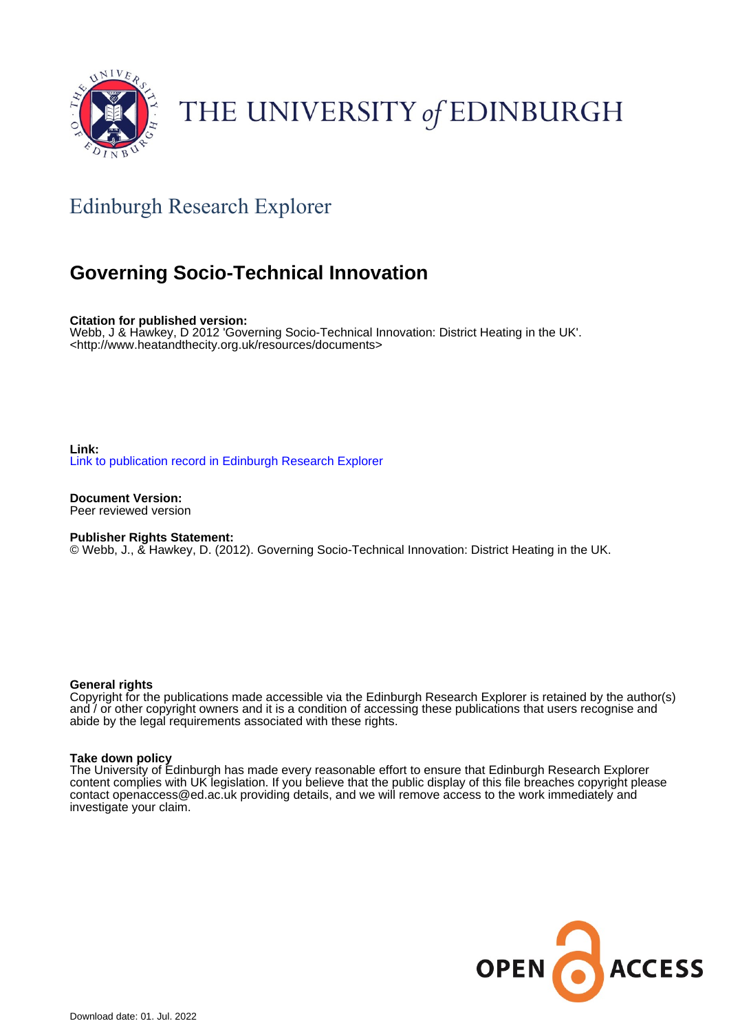

# THE UNIVERSITY of EDINBURGH

# Edinburgh Research Explorer

# **Governing Socio-Technical Innovation**

**Citation for published version:** Webb, J & Hawkey, D 2012 'Governing Socio-Technical Innovation: District Heating in the UK'. <<http://www.heatandthecity.org.uk/resources/documents>>

**Link:** [Link to publication record in Edinburgh Research Explorer](https://www.research.ed.ac.uk/en/publications/1666b7b7-0f6b-46c5-bb47-fef4785ffbe0)

**Document Version:** Peer reviewed version

**Publisher Rights Statement:**

© Webb, J., & Hawkey, D. (2012). Governing Socio-Technical Innovation: District Heating in the UK.

#### **General rights**

Copyright for the publications made accessible via the Edinburgh Research Explorer is retained by the author(s) and / or other copyright owners and it is a condition of accessing these publications that users recognise and abide by the legal requirements associated with these rights.

#### **Take down policy**

The University of Edinburgh has made every reasonable effort to ensure that Edinburgh Research Explorer content complies with UK legislation. If you believe that the public display of this file breaches copyright please contact openaccess@ed.ac.uk providing details, and we will remove access to the work immediately and investigate your claim.

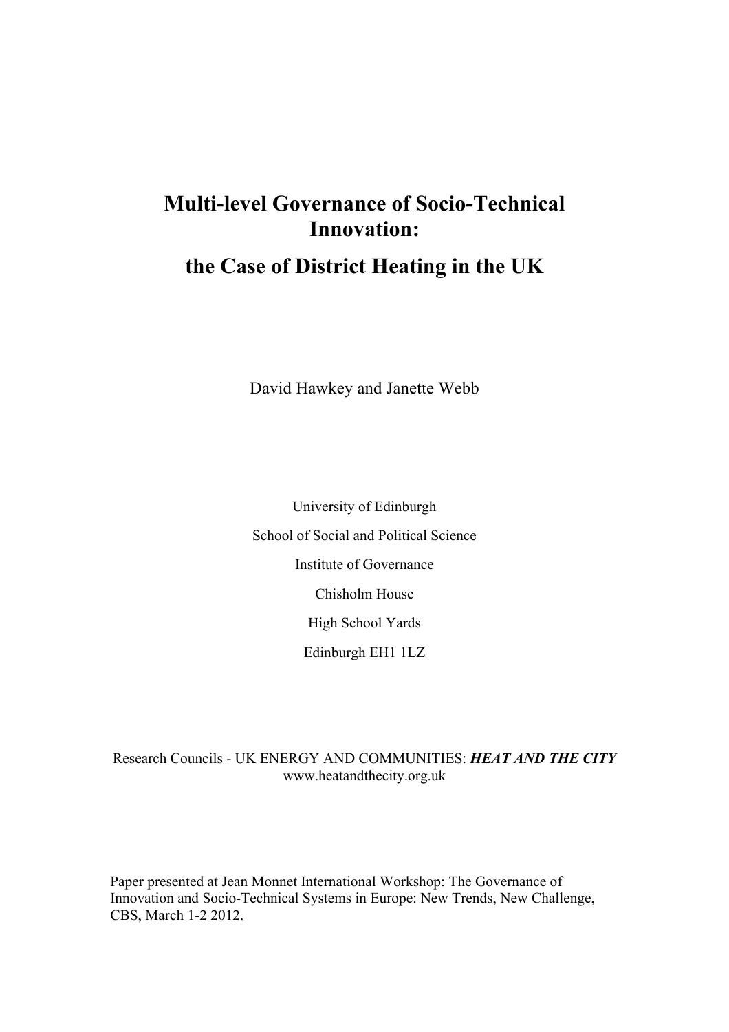# **Multi-level Governance of Socio-Technical Innovation:**

# **the Case of District Heating in the UK**

David Hawkey and Janette Webb

University of Edinburgh School of Social and Political Science Institute of Governance Chisholm House High School Yards Edinburgh EH1 1LZ

### Research Councils - UK ENERGY AND COMMUNITIES: *HEAT AND THE CITY* www.heatandthecity.org.uk

Paper presented at Jean Monnet International Workshop: The Governance of Innovation and Socio-Technical Systems in Europe: New Trends, New Challenge, CBS, March 1-2 2012.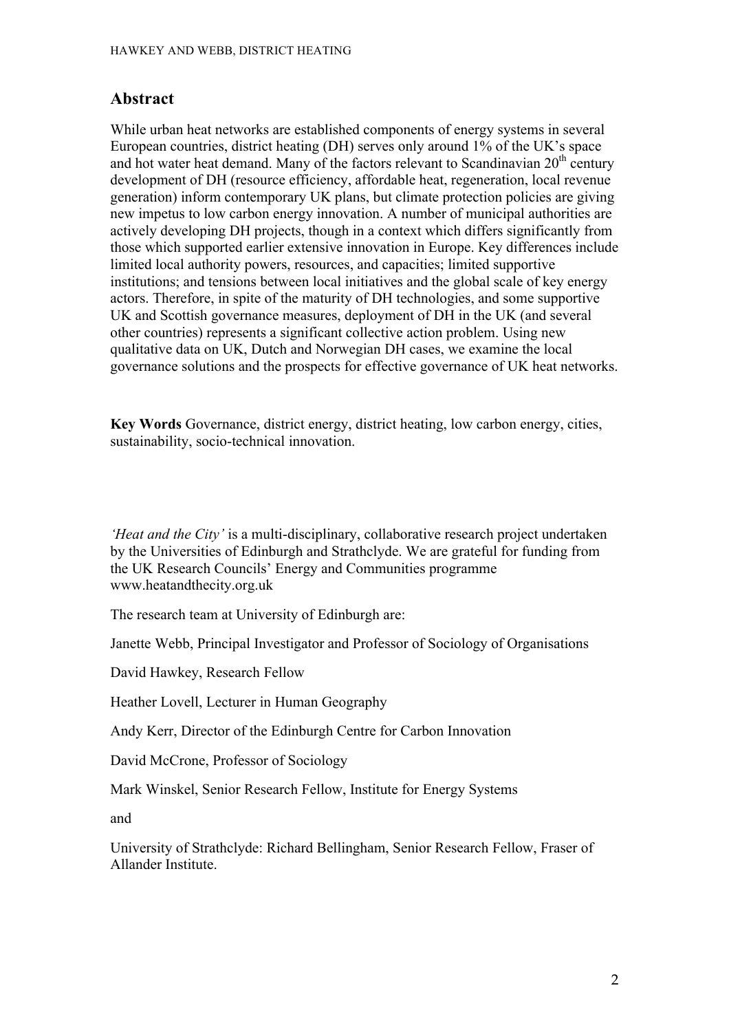### **Abstract**

While urban heat networks are established components of energy systems in several European countries, district heating (DH) serves only around 1% of the UK's space and hot water heat demand. Many of the factors relevant to Scandinavian  $20<sup>th</sup>$  century development of DH (resource efficiency, affordable heat, regeneration, local revenue generation) inform contemporary UK plans, but climate protection policies are giving new impetus to low carbon energy innovation. A number of municipal authorities are actively developing DH projects, though in a context which differs significantly from those which supported earlier extensive innovation in Europe. Key differences include limited local authority powers, resources, and capacities; limited supportive institutions; and tensions between local initiatives and the global scale of key energy actors. Therefore, in spite of the maturity of DH technologies, and some supportive UK and Scottish governance measures, deployment of DH in the UK (and several other countries) represents a significant collective action problem. Using new qualitative data on UK, Dutch and Norwegian DH cases, we examine the local governance solutions and the prospects for effective governance of UK heat networks.

**Key Words** Governance, district energy, district heating, low carbon energy, cities, sustainability, socio-technical innovation.

*'Heat and the City'* is a multi-disciplinary, collaborative research project undertaken by the Universities of Edinburgh and Strathclyde. We are grateful for funding from the UK Research Councils' Energy and Communities programme www.heatandthecity.org.uk

The research team at University of Edinburgh are:

Janette Webb, Principal Investigator and Professor of Sociology of Organisations

David Hawkey, Research Fellow

Heather Lovell, Lecturer in Human Geography

Andy Kerr, Director of the Edinburgh Centre for Carbon Innovation

David McCrone, Professor of Sociology

Mark Winskel, Senior Research Fellow, Institute for Energy Systems

and

University of Strathclyde: Richard Bellingham, Senior Research Fellow, Fraser of Allander Institute.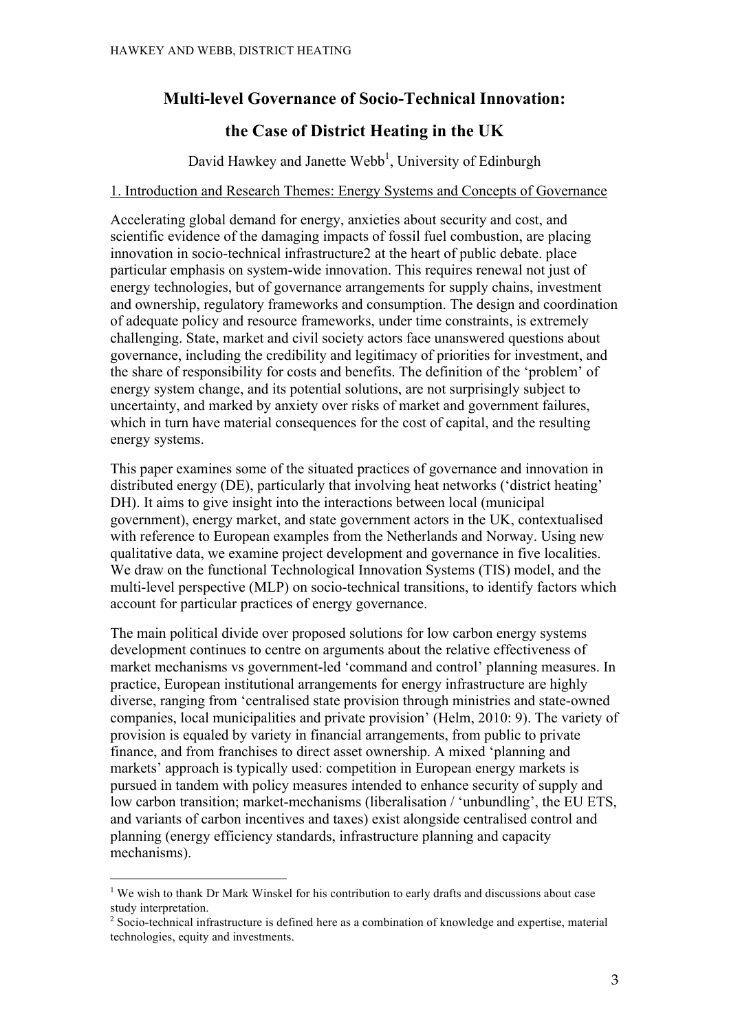### **Multi-level Governance of Socio-Technical Innovation:**

## **the Case of District Heating in the UK**

David Hawkey and Janette Webb<sup>1</sup>, University of Edinburgh

#### 1. Introduction and Research Themes: Energy Systems and Concepts of Governance

Accelerating global demand for energy, anxieties about security and cost, and scientific evidence of the damaging impacts of fossil fuel combustion, are placing innovation in socio-technical infrastructure2 at the heart of public debate. place particular emphasis on system-wide innovation. This requires renewal not just of energy technologies, but of governance arrangements for supply chains, investment and ownership, regulatory frameworks and consumption. The design and coordination of adequate policy and resource frameworks, under time constraints, is extremely challenging. State, market and civil society actors face unanswered questions about governance, including the credibility and legitimacy of priorities for investment, and the share of responsibility for costs and benefits. The definition of the 'problem' of energy system change, and its potential solutions, are not surprisingly subject to uncertainty, and marked by anxiety over risks of market and government failures, which in turn have material consequences for the cost of capital, and the resulting energy systems.

This paper examines some of the situated practices of governance and innovation in distributed energy (DE), particularly that involving heat networks ('district heating' DH). It aims to give insight into the interactions between local (municipal government), energy market, and state government actors in the UK, contextualised with reference to European examples from the Netherlands and Norway. Using new qualitative data, we examine project development and governance in five localities. We draw on the functional Technological Innovation Systems (TIS) model, and the multi-level perspective (MLP) on socio-technical transitions, to identify factors which account for particular practices of energy governance.

The main political divide over proposed solutions for low carbon energy systems development continues to centre on arguments about the relative effectiveness of market mechanisms vs government-led 'command and control' planning measures. In practice, European institutional arrangements for energy infrastructure are highly diverse, ranging from 'centralised state provision through ministries and state-owned companies, local municipalities and private provision' (Helm, 2010: 9). The variety of provision is equaled by variety in financial arrangements, from public to private finance, and from franchises to direct asset ownership. A mixed 'planning and markets' approach is typically used: competition in European energy markets is pursued in tandem with policy measures intended to enhance security of supply and low carbon transition; market-mechanisms (liberalisation / 'unbundling', the EU ETS, and variants of carbon incentives and taxes) exist alongside centralised control and planning (energy efficiency standards, infrastructure planning and capacity mechanisms).

 $1$ <sup>We</sup> wish to thank Dr Mark Winskel for his contribution to early drafts and discussions about case study interpretation.

<sup>&</sup>lt;sup>2</sup> Socio-technical infrastructure is defined here as a combination of knowledge and expertise, material technologies, equity and investments.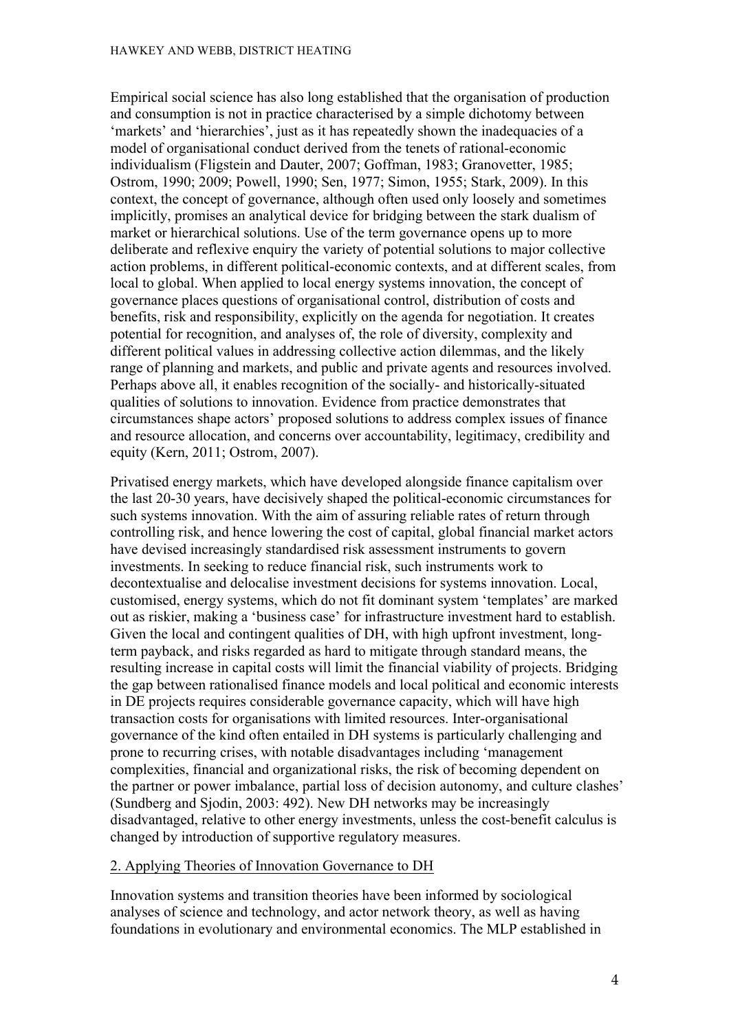Empirical social science has also long established that the organisation of production and consumption is not in practice characterised by a simple dichotomy between 'markets' and 'hierarchies', just as it has repeatedly shown the inadequacies of a model of organisational conduct derived from the tenets of rational-economic individualism (Fligstein and Dauter, 2007; Goffman, 1983; Granovetter, 1985; Ostrom, 1990; 2009; Powell, 1990; Sen, 1977; Simon, 1955; Stark, 2009). In this context, the concept of governance, although often used only loosely and sometimes implicitly, promises an analytical device for bridging between the stark dualism of market or hierarchical solutions. Use of the term governance opens up to more deliberate and reflexive enquiry the variety of potential solutions to major collective action problems, in different political-economic contexts, and at different scales, from local to global. When applied to local energy systems innovation, the concept of governance places questions of organisational control, distribution of costs and benefits, risk and responsibility, explicitly on the agenda for negotiation. It creates potential for recognition, and analyses of, the role of diversity, complexity and different political values in addressing collective action dilemmas, and the likely range of planning and markets, and public and private agents and resources involved. Perhaps above all, it enables recognition of the socially- and historically-situated qualities of solutions to innovation. Evidence from practice demonstrates that circumstances shape actors' proposed solutions to address complex issues of finance and resource allocation, and concerns over accountability, legitimacy, credibility and equity (Kern, 2011; Ostrom, 2007).

Privatised energy markets, which have developed alongside finance capitalism over the last 20-30 years, have decisively shaped the political-economic circumstances for such systems innovation. With the aim of assuring reliable rates of return through controlling risk, and hence lowering the cost of capital, global financial market actors have devised increasingly standardised risk assessment instruments to govern investments. In seeking to reduce financial risk, such instruments work to decontextualise and delocalise investment decisions for systems innovation. Local, customised, energy systems, which do not fit dominant system 'templates' are marked out as riskier, making a 'business case' for infrastructure investment hard to establish. Given the local and contingent qualities of DH, with high upfront investment, longterm payback, and risks regarded as hard to mitigate through standard means, the resulting increase in capital costs will limit the financial viability of projects. Bridging the gap between rationalised finance models and local political and economic interests in DE projects requires considerable governance capacity, which will have high transaction costs for organisations with limited resources. Inter-organisational governance of the kind often entailed in DH systems is particularly challenging and prone to recurring crises, with notable disadvantages including 'management complexities, financial and organizational risks, the risk of becoming dependent on the partner or power imbalance, partial loss of decision autonomy, and culture clashes' (Sundberg and Sjodin, 2003: 492). New DH networks may be increasingly disadvantaged, relative to other energy investments, unless the cost-benefit calculus is changed by introduction of supportive regulatory measures.

#### 2. Applying Theories of Innovation Governance to DH

Innovation systems and transition theories have been informed by sociological analyses of science and technology, and actor network theory, as well as having foundations in evolutionary and environmental economics. The MLP established in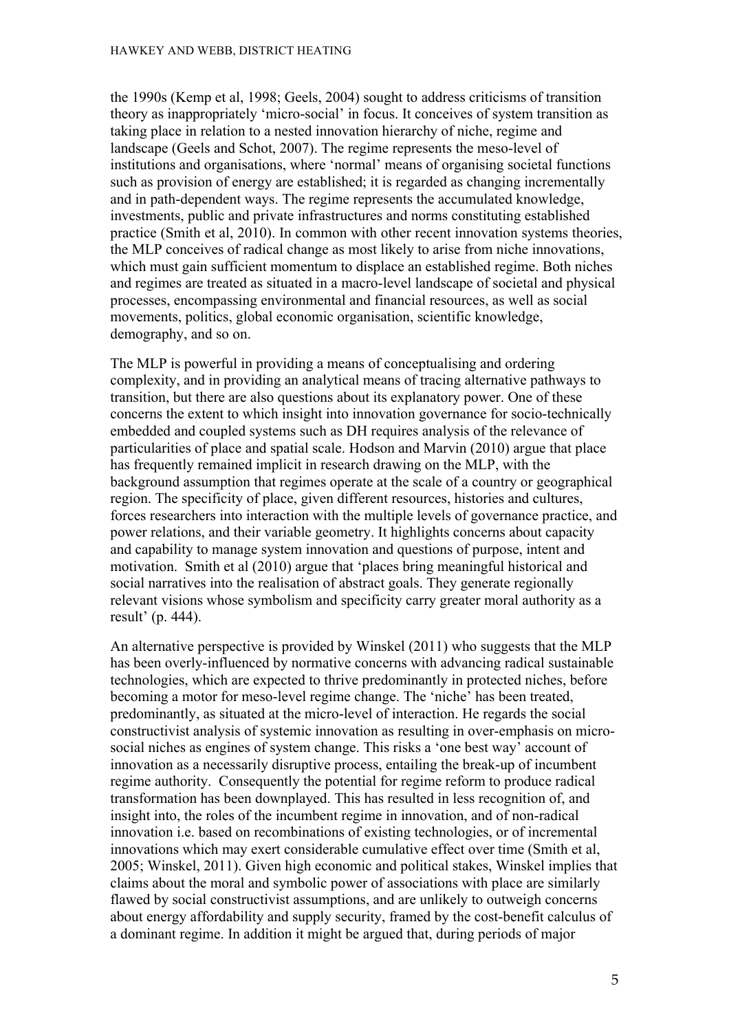the 1990s (Kemp et al, 1998; Geels, 2004) sought to address criticisms of transition theory as inappropriately 'micro-social' in focus. It conceives of system transition as taking place in relation to a nested innovation hierarchy of niche, regime and landscape (Geels and Schot, 2007). The regime represents the meso-level of institutions and organisations, where 'normal' means of organising societal functions such as provision of energy are established; it is regarded as changing incrementally and in path-dependent ways. The regime represents the accumulated knowledge, investments, public and private infrastructures and norms constituting established practice (Smith et al, 2010). In common with other recent innovation systems theories, the MLP conceives of radical change as most likely to arise from niche innovations, which must gain sufficient momentum to displace an established regime. Both niches and regimes are treated as situated in a macro-level landscape of societal and physical processes, encompassing environmental and financial resources, as well as social movements, politics, global economic organisation, scientific knowledge, demography, and so on.

The MLP is powerful in providing a means of conceptualising and ordering complexity, and in providing an analytical means of tracing alternative pathways to transition, but there are also questions about its explanatory power. One of these concerns the extent to which insight into innovation governance for socio-technically embedded and coupled systems such as DH requires analysis of the relevance of particularities of place and spatial scale. Hodson and Marvin (2010) argue that place has frequently remained implicit in research drawing on the MLP, with the background assumption that regimes operate at the scale of a country or geographical region. The specificity of place, given different resources, histories and cultures, forces researchers into interaction with the multiple levels of governance practice, and power relations, and their variable geometry. It highlights concerns about capacity and capability to manage system innovation and questions of purpose, intent and motivation. Smith et al (2010) argue that 'places bring meaningful historical and social narratives into the realisation of abstract goals. They generate regionally relevant visions whose symbolism and specificity carry greater moral authority as a result' (p. 444).

An alternative perspective is provided by Winskel (2011) who suggests that the MLP has been overly-influenced by normative concerns with advancing radical sustainable technologies, which are expected to thrive predominantly in protected niches, before becoming a motor for meso-level regime change. The 'niche' has been treated, predominantly, as situated at the micro-level of interaction. He regards the social constructivist analysis of systemic innovation as resulting in over-emphasis on microsocial niches as engines of system change. This risks a 'one best way' account of innovation as a necessarily disruptive process, entailing the break-up of incumbent regime authority. Consequently the potential for regime reform to produce radical transformation has been downplayed. This has resulted in less recognition of, and insight into, the roles of the incumbent regime in innovation, and of non-radical innovation i.e. based on recombinations of existing technologies, or of incremental innovations which may exert considerable cumulative effect over time (Smith et al, 2005; Winskel, 2011). Given high economic and political stakes, Winskel implies that claims about the moral and symbolic power of associations with place are similarly flawed by social constructivist assumptions, and are unlikely to outweigh concerns about energy affordability and supply security, framed by the cost-benefit calculus of a dominant regime. In addition it might be argued that, during periods of major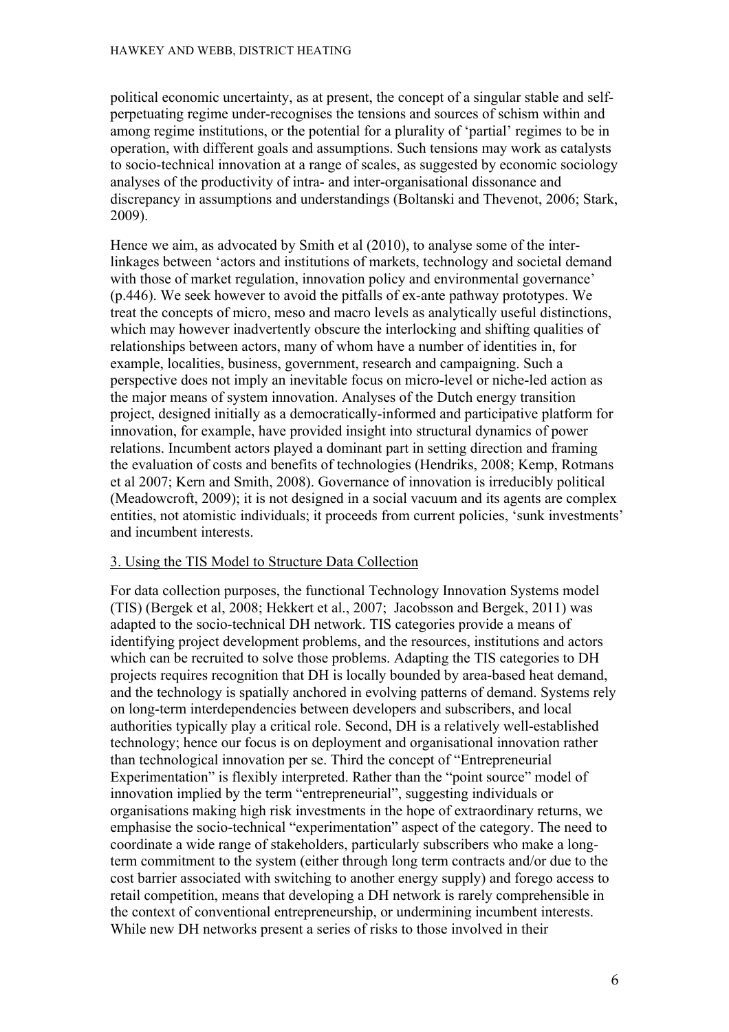political economic uncertainty, as at present, the concept of a singular stable and selfperpetuating regime under-recognises the tensions and sources of schism within and among regime institutions, or the potential for a plurality of 'partial' regimes to be in operation, with different goals and assumptions. Such tensions may work as catalysts to socio-technical innovation at a range of scales, as suggested by economic sociology analyses of the productivity of intra- and inter-organisational dissonance and discrepancy in assumptions and understandings (Boltanski and Thevenot, 2006; Stark, 2009).

Hence we aim, as advocated by Smith et al (2010), to analyse some of the interlinkages between 'actors and institutions of markets, technology and societal demand with those of market regulation, innovation policy and environmental governance' (p.446). We seek however to avoid the pitfalls of ex-ante pathway prototypes. We treat the concepts of micro, meso and macro levels as analytically useful distinctions, which may however inadvertently obscure the interlocking and shifting qualities of relationships between actors, many of whom have a number of identities in, for example, localities, business, government, research and campaigning. Such a perspective does not imply an inevitable focus on micro-level or niche-led action as the major means of system innovation. Analyses of the Dutch energy transition project, designed initially as a democratically-informed and participative platform for innovation, for example, have provided insight into structural dynamics of power relations. Incumbent actors played a dominant part in setting direction and framing the evaluation of costs and benefits of technologies (Hendriks, 2008; Kemp, Rotmans et al 2007; Kern and Smith, 2008). Governance of innovation is irreducibly political (Meadowcroft, 2009); it is not designed in a social vacuum and its agents are complex entities, not atomistic individuals; it proceeds from current policies, 'sunk investments' and incumbent interests.

#### 3. Using the TIS Model to Structure Data Collection

For data collection purposes, the functional Technology Innovation Systems model (TIS) (Bergek et al, 2008; Hekkert et al., 2007; Jacobsson and Bergek, 2011) was adapted to the socio-technical DH network. TIS categories provide a means of identifying project development problems, and the resources, institutions and actors which can be recruited to solve those problems. Adapting the TIS categories to DH projects requires recognition that DH is locally bounded by area-based heat demand, and the technology is spatially anchored in evolving patterns of demand. Systems rely on long-term interdependencies between developers and subscribers, and local authorities typically play a critical role. Second, DH is a relatively well-established technology; hence our focus is on deployment and organisational innovation rather than technological innovation per se. Third the concept of "Entrepreneurial Experimentation" is flexibly interpreted. Rather than the "point source" model of innovation implied by the term "entrepreneurial", suggesting individuals or organisations making high risk investments in the hope of extraordinary returns, we emphasise the socio-technical "experimentation" aspect of the category. The need to coordinate a wide range of stakeholders, particularly subscribers who make a longterm commitment to the system (either through long term contracts and/or due to the cost barrier associated with switching to another energy supply) and forego access to retail competition, means that developing a DH network is rarely comprehensible in the context of conventional entrepreneurship, or undermining incumbent interests. While new DH networks present a series of risks to those involved in their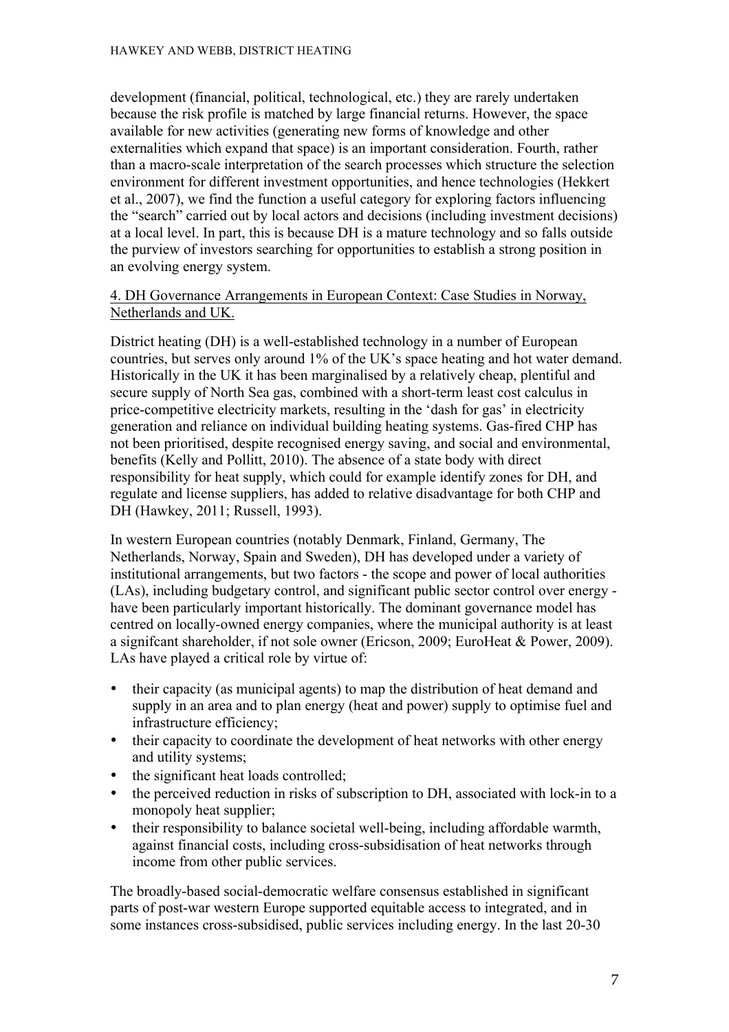development (financial, political, technological, etc.) they are rarely undertaken because the risk profile is matched by large financial returns. However, the space available for new activities (generating new forms of knowledge and other externalities which expand that space) is an important consideration. Fourth, rather than a macro-scale interpretation of the search processes which structure the selection environment for different investment opportunities, and hence technologies (Hekkert et al., 2007), we find the function a useful category for exploring factors influencing the "search" carried out by local actors and decisions (including investment decisions) at a local level. In part, this is because DH is a mature technology and so falls outside the purview of investors searching for opportunities to establish a strong position in an evolving energy system.

#### 4. DH Governance Arrangements in European Context: Case Studies in Norway, Netherlands and UK.

District heating (DH) is a well-established technology in a number of European countries, but serves only around 1% of the UK's space heating and hot water demand. Historically in the UK it has been marginalised by a relatively cheap, plentiful and secure supply of North Sea gas, combined with a short-term least cost calculus in price-competitive electricity markets, resulting in the 'dash for gas' in electricity generation and reliance on individual building heating systems. Gas-fired CHP has not been prioritised, despite recognised energy saving, and social and environmental, benefits (Kelly and Pollitt, 2010). The absence of a state body with direct responsibility for heat supply, which could for example identify zones for DH, and regulate and license suppliers, has added to relative disadvantage for both CHP and DH (Hawkey, 2011; Russell, 1993).

In western European countries (notably Denmark, Finland, Germany, The Netherlands, Norway, Spain and Sweden), DH has developed under a variety of institutional arrangements, but two factors - the scope and power of local authorities (LAs), including budgetary control, and significant public sector control over energy have been particularly important historically. The dominant governance model has centred on locally-owned energy companies, where the municipal authority is at least a signifcant shareholder, if not sole owner (Ericson, 2009; EuroHeat & Power, 2009). LAs have played a critical role by virtue of:

- their capacity (as municipal agents) to map the distribution of heat demand and supply in an area and to plan energy (heat and power) supply to optimise fuel and infrastructure efficiency;
- their capacity to coordinate the development of heat networks with other energy and utility systems;
- the significant heat loads controlled;
- the perceived reduction in risks of subscription to DH, associated with lock-in to a monopoly heat supplier;
- their responsibility to balance societal well-being, including affordable warmth, against financial costs, including cross-subsidisation of heat networks through income from other public services.

The broadly-based social-democratic welfare consensus established in significant parts of post-war western Europe supported equitable access to integrated, and in some instances cross-subsidised, public services including energy. In the last 20-30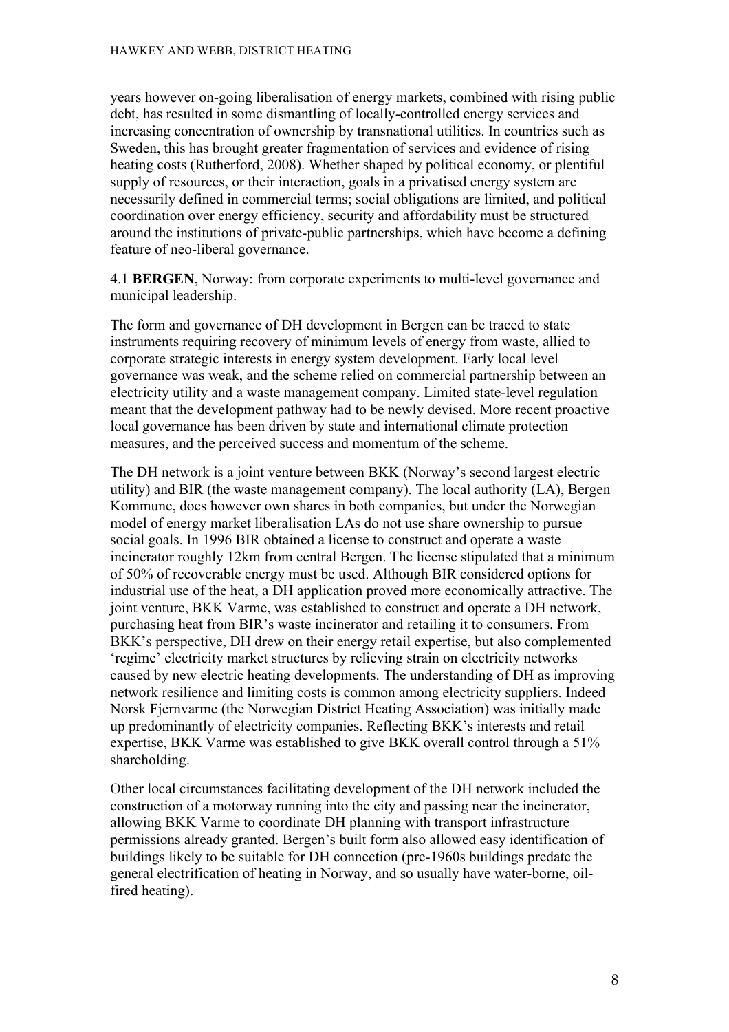years however on-going liberalisation of energy markets, combined with rising public debt, has resulted in some dismantling of locally-controlled energy services and increasing concentration of ownership by transnational utilities. In countries such as Sweden, this has brought greater fragmentation of services and evidence of rising heating costs (Rutherford, 2008). Whether shaped by political economy, or plentiful supply of resources, or their interaction, goals in a privatised energy system are necessarily defined in commercial terms; social obligations are limited, and political coordination over energy efficiency, security and affordability must be structured around the institutions of private-public partnerships, which have become a defining feature of neo-liberal governance.

#### 4.1 **BERGEN**, Norway: from corporate experiments to multi-level governance and municipal leadership.

The form and governance of DH development in Bergen can be traced to state instruments requiring recovery of minimum levels of energy from waste, allied to corporate strategic interests in energy system development. Early local level governance was weak, and the scheme relied on commercial partnership between an electricity utility and a waste management company. Limited state-level regulation meant that the development pathway had to be newly devised. More recent proactive local governance has been driven by state and international climate protection measures, and the perceived success and momentum of the scheme.

The DH network is a joint venture between BKK (Norway's second largest electric utility) and BIR (the waste management company). The local authority (LA), Bergen Kommune, does however own shares in both companies, but under the Norwegian model of energy market liberalisation LAs do not use share ownership to pursue social goals. In 1996 BIR obtained a license to construct and operate a waste incinerator roughly 12km from central Bergen. The license stipulated that a minimum of 50% of recoverable energy must be used. Although BIR considered options for industrial use of the heat, a DH application proved more economically attractive. The joint venture, BKK Varme, was established to construct and operate a DH network, purchasing heat from BIR's waste incinerator and retailing it to consumers. From BKK's perspective, DH drew on their energy retail expertise, but also complemented 'regime' electricity market structures by relieving strain on electricity networks caused by new electric heating developments. The understanding of DH as improving network resilience and limiting costs is common among electricity suppliers. Indeed Norsk Fjernvarme (the Norwegian District Heating Association) was initially made up predominantly of electricity companies. Reflecting BKK's interests and retail expertise, BKK Varme was established to give BKK overall control through a 51% shareholding.

Other local circumstances facilitating development of the DH network included the construction of a motorway running into the city and passing near the incinerator, allowing BKK Varme to coordinate DH planning with transport infrastructure permissions already granted. Bergen's built form also allowed easy identification of buildings likely to be suitable for DH connection (pre-1960s buildings predate the general electrification of heating in Norway, and so usually have water-borne, oilfired heating).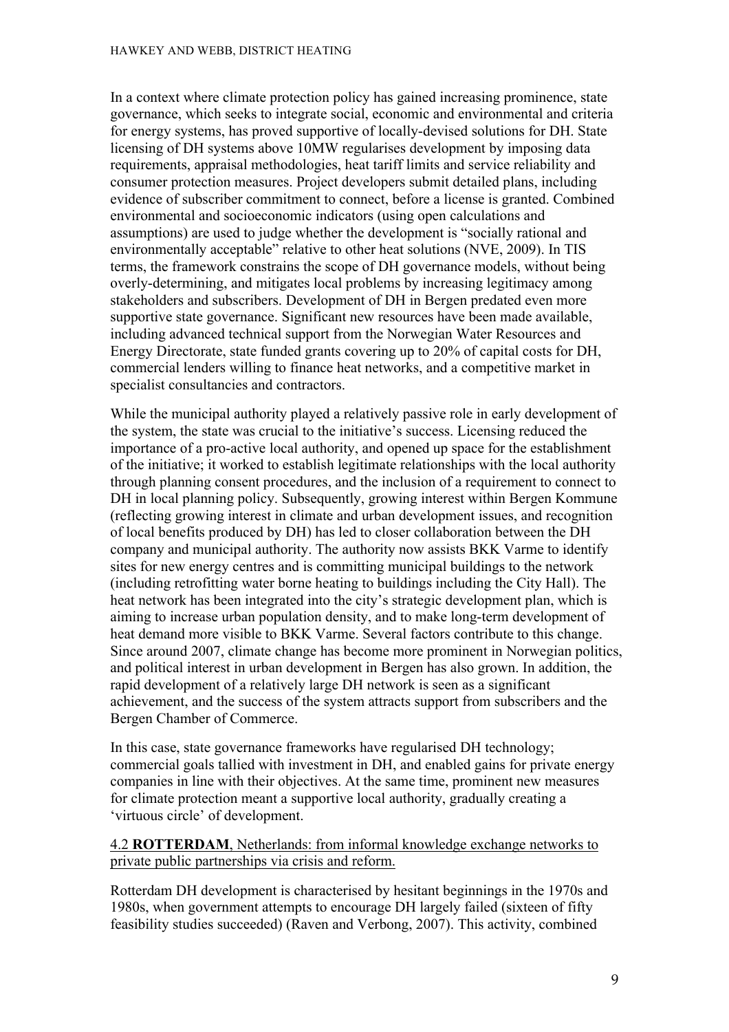In a context where climate protection policy has gained increasing prominence, state governance, which seeks to integrate social, economic and environmental and criteria for energy systems, has proved supportive of locally-devised solutions for DH. State licensing of DH systems above 10MW regularises development by imposing data requirements, appraisal methodologies, heat tariff limits and service reliability and consumer protection measures. Project developers submit detailed plans, including evidence of subscriber commitment to connect, before a license is granted. Combined environmental and socioeconomic indicators (using open calculations and assumptions) are used to judge whether the development is "socially rational and environmentally acceptable" relative to other heat solutions (NVE, 2009). In TIS terms, the framework constrains the scope of DH governance models, without being overly-determining, and mitigates local problems by increasing legitimacy among stakeholders and subscribers. Development of DH in Bergen predated even more supportive state governance. Significant new resources have been made available, including advanced technical support from the Norwegian Water Resources and Energy Directorate, state funded grants covering up to 20% of capital costs for DH, commercial lenders willing to finance heat networks, and a competitive market in specialist consultancies and contractors.

While the municipal authority played a relatively passive role in early development of the system, the state was crucial to the initiative's success. Licensing reduced the importance of a pro-active local authority, and opened up space for the establishment of the initiative; it worked to establish legitimate relationships with the local authority through planning consent procedures, and the inclusion of a requirement to connect to DH in local planning policy. Subsequently, growing interest within Bergen Kommune (reflecting growing interest in climate and urban development issues, and recognition of local benefits produced by DH) has led to closer collaboration between the DH company and municipal authority. The authority now assists BKK Varme to identify sites for new energy centres and is committing municipal buildings to the network (including retrofitting water borne heating to buildings including the City Hall). The heat network has been integrated into the city's strategic development plan, which is aiming to increase urban population density, and to make long-term development of heat demand more visible to BKK Varme. Several factors contribute to this change. Since around 2007, climate change has become more prominent in Norwegian politics, and political interest in urban development in Bergen has also grown. In addition, the rapid development of a relatively large DH network is seen as a significant achievement, and the success of the system attracts support from subscribers and the Bergen Chamber of Commerce.

In this case, state governance frameworks have regularised DH technology; commercial goals tallied with investment in DH, and enabled gains for private energy companies in line with their objectives. At the same time, prominent new measures for climate protection meant a supportive local authority, gradually creating a 'virtuous circle' of development.

#### 4.2 **ROTTERDAM**, Netherlands: from informal knowledge exchange networks to private public partnerships via crisis and reform.

Rotterdam DH development is characterised by hesitant beginnings in the 1970s and 1980s, when government attempts to encourage DH largely failed (sixteen of fifty feasibility studies succeeded) (Raven and Verbong, 2007). This activity, combined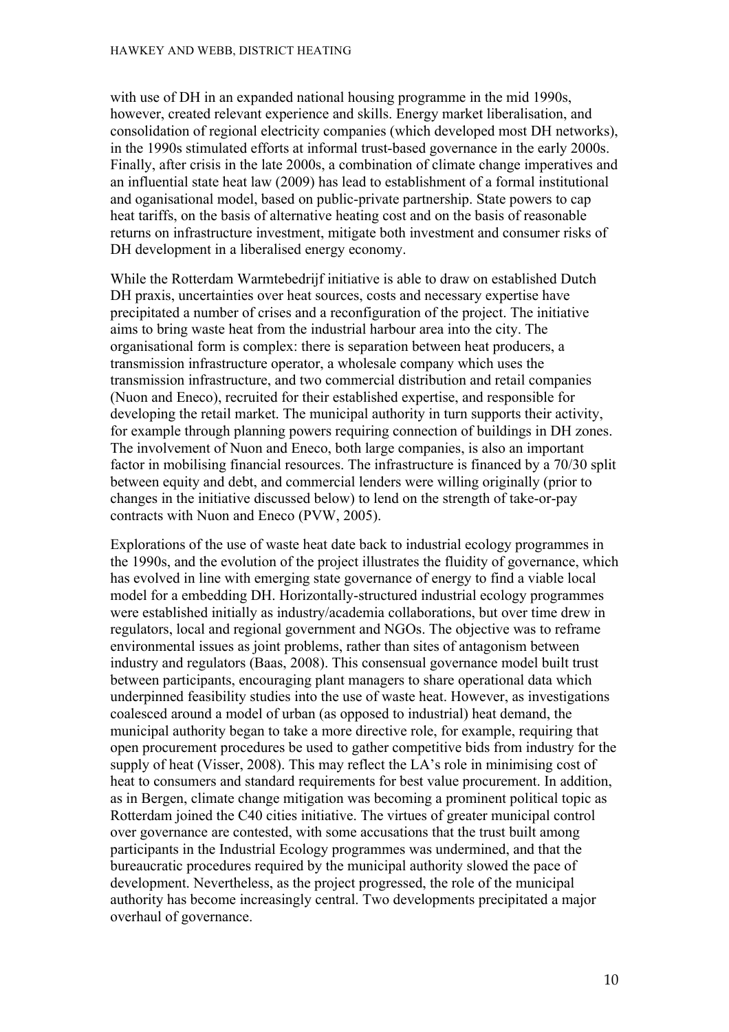with use of DH in an expanded national housing programme in the mid 1990s, however, created relevant experience and skills. Energy market liberalisation, and consolidation of regional electricity companies (which developed most DH networks), in the 1990s stimulated efforts at informal trust-based governance in the early 2000s. Finally, after crisis in the late 2000s, a combination of climate change imperatives and an influential state heat law (2009) has lead to establishment of a formal institutional and oganisational model, based on public-private partnership. State powers to cap heat tariffs, on the basis of alternative heating cost and on the basis of reasonable returns on infrastructure investment, mitigate both investment and consumer risks of DH development in a liberalised energy economy.

While the Rotterdam Warmtebedrijf initiative is able to draw on established Dutch DH praxis, uncertainties over heat sources, costs and necessary expertise have precipitated a number of crises and a reconfiguration of the project. The initiative aims to bring waste heat from the industrial harbour area into the city. The organisational form is complex: there is separation between heat producers, a transmission infrastructure operator, a wholesale company which uses the transmission infrastructure, and two commercial distribution and retail companies (Nuon and Eneco), recruited for their established expertise, and responsible for developing the retail market. The municipal authority in turn supports their activity, for example through planning powers requiring connection of buildings in DH zones. The involvement of Nuon and Eneco, both large companies, is also an important factor in mobilising financial resources. The infrastructure is financed by a 70/30 split between equity and debt, and commercial lenders were willing originally (prior to changes in the initiative discussed below) to lend on the strength of take-or-pay contracts with Nuon and Eneco (PVW, 2005).

Explorations of the use of waste heat date back to industrial ecology programmes in the 1990s, and the evolution of the project illustrates the fluidity of governance, which has evolved in line with emerging state governance of energy to find a viable local model for a embedding DH. Horizontally-structured industrial ecology programmes were established initially as industry/academia collaborations, but over time drew in regulators, local and regional government and NGOs. The objective was to reframe environmental issues as joint problems, rather than sites of antagonism between industry and regulators (Baas, 2008). This consensual governance model built trust between participants, encouraging plant managers to share operational data which underpinned feasibility studies into the use of waste heat. However, as investigations coalesced around a model of urban (as opposed to industrial) heat demand, the municipal authority began to take a more directive role, for example, requiring that open procurement procedures be used to gather competitive bids from industry for the supply of heat (Visser, 2008). This may reflect the LA's role in minimising cost of heat to consumers and standard requirements for best value procurement. In addition, as in Bergen, climate change mitigation was becoming a prominent political topic as Rotterdam joined the C40 cities initiative. The virtues of greater municipal control over governance are contested, with some accusations that the trust built among participants in the Industrial Ecology programmes was undermined, and that the bureaucratic procedures required by the municipal authority slowed the pace of development. Nevertheless, as the project progressed, the role of the municipal authority has become increasingly central. Two developments precipitated a major overhaul of governance.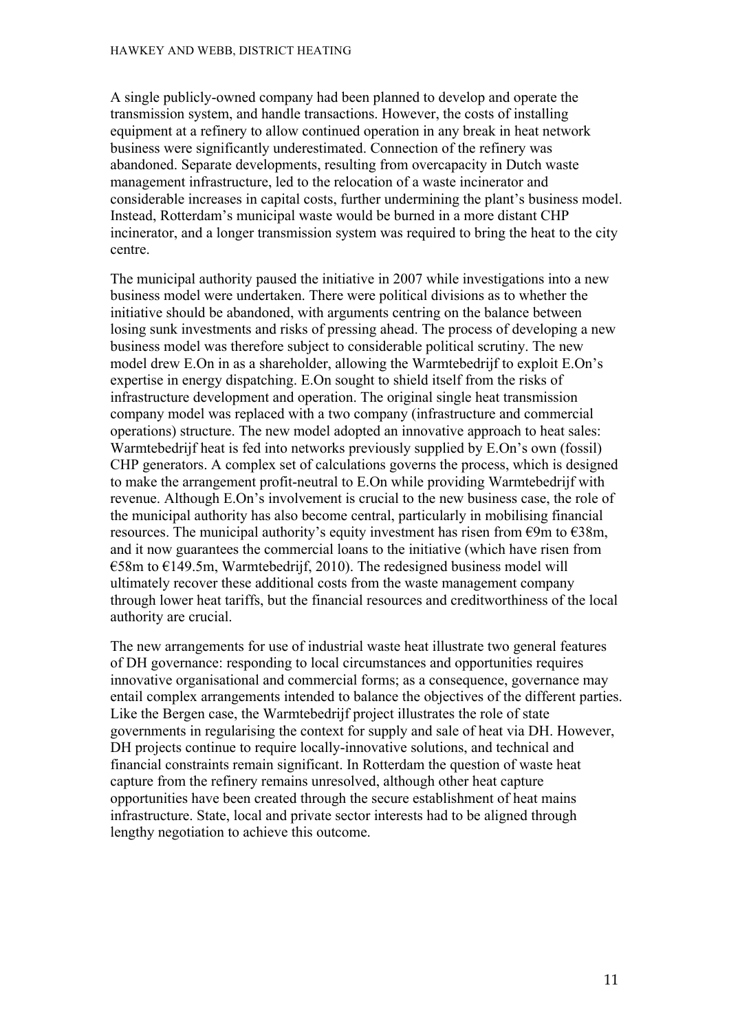A single publicly-owned company had been planned to develop and operate the transmission system, and handle transactions. However, the costs of installing equipment at a refinery to allow continued operation in any break in heat network business were significantly underestimated. Connection of the refinery was abandoned. Separate developments, resulting from overcapacity in Dutch waste management infrastructure, led to the relocation of a waste incinerator and considerable increases in capital costs, further undermining the plant's business model. Instead, Rotterdam's municipal waste would be burned in a more distant CHP incinerator, and a longer transmission system was required to bring the heat to the city centre.

The municipal authority paused the initiative in 2007 while investigations into a new business model were undertaken. There were political divisions as to whether the initiative should be abandoned, with arguments centring on the balance between losing sunk investments and risks of pressing ahead. The process of developing a new business model was therefore subject to considerable political scrutiny. The new model drew E.On in as a shareholder, allowing the Warmtebedrijf to exploit E.On's expertise in energy dispatching. E.On sought to shield itself from the risks of infrastructure development and operation. The original single heat transmission company model was replaced with a two company (infrastructure and commercial operations) structure. The new model adopted an innovative approach to heat sales: Warmtebedrijf heat is fed into networks previously supplied by E.On's own (fossil) CHP generators. A complex set of calculations governs the process, which is designed to make the arrangement profit-neutral to E.On while providing Warmtebedrijf with revenue. Although E.On's involvement is crucial to the new business case, the role of the municipal authority has also become central, particularly in mobilising financial resources. The municipal authority's equity investment has risen from  $\epsilon$ 9m to  $\epsilon$ 38m, and it now guarantees the commercial loans to the initiative (which have risen from  $\epsilon$ 58m to  $\epsilon$ 149.5m, Warmtebedrijf, 2010). The redesigned business model will ultimately recover these additional costs from the waste management company through lower heat tariffs, but the financial resources and creditworthiness of the local authority are crucial.

The new arrangements for use of industrial waste heat illustrate two general features of DH governance: responding to local circumstances and opportunities requires innovative organisational and commercial forms; as a consequence, governance may entail complex arrangements intended to balance the objectives of the different parties. Like the Bergen case, the Warmtebedrijf project illustrates the role of state governments in regularising the context for supply and sale of heat via DH. However, DH projects continue to require locally-innovative solutions, and technical and financial constraints remain significant. In Rotterdam the question of waste heat capture from the refinery remains unresolved, although other heat capture opportunities have been created through the secure establishment of heat mains infrastructure. State, local and private sector interests had to be aligned through lengthy negotiation to achieve this outcome.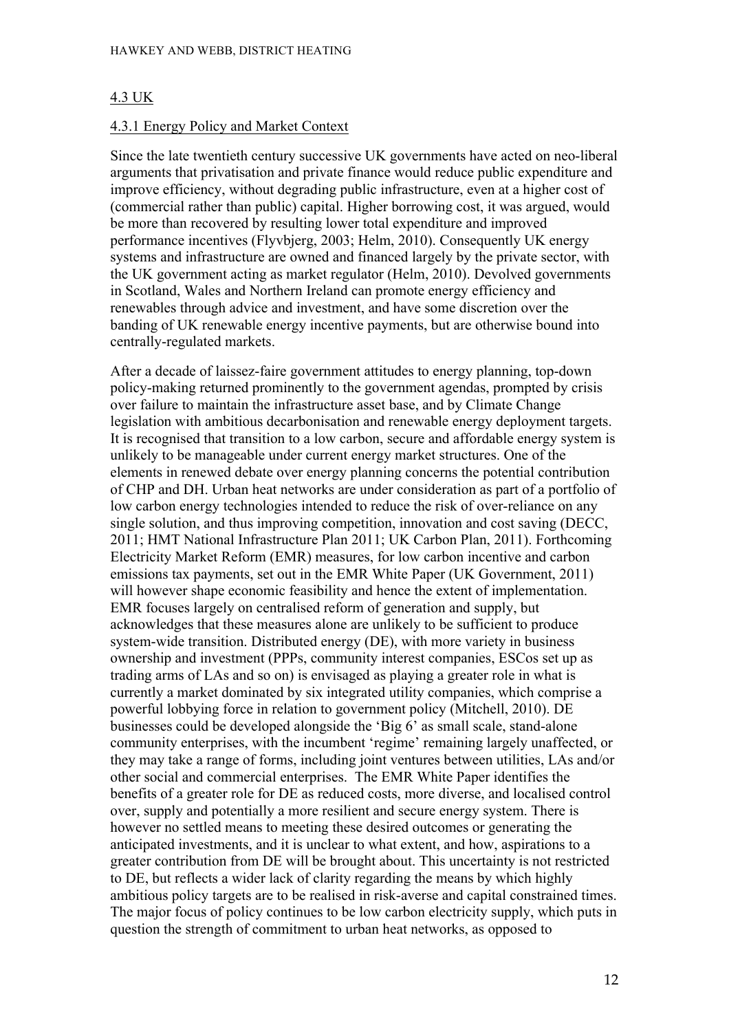#### 4.3 UK

#### 4.3.1 Energy Policy and Market Context

Since the late twentieth century successive UK governments have acted on neo-liberal arguments that privatisation and private finance would reduce public expenditure and improve efficiency, without degrading public infrastructure, even at a higher cost of (commercial rather than public) capital. Higher borrowing cost, it was argued, would be more than recovered by resulting lower total expenditure and improved performance incentives (Flyvbjerg, 2003; Helm, 2010). Consequently UK energy systems and infrastructure are owned and financed largely by the private sector, with the UK government acting as market regulator (Helm, 2010). Devolved governments in Scotland, Wales and Northern Ireland can promote energy efficiency and renewables through advice and investment, and have some discretion over the banding of UK renewable energy incentive payments, but are otherwise bound into centrally-regulated markets.

After a decade of laissez-faire government attitudes to energy planning, top-down policy-making returned prominently to the government agendas, prompted by crisis over failure to maintain the infrastructure asset base, and by Climate Change legislation with ambitious decarbonisation and renewable energy deployment targets. It is recognised that transition to a low carbon, secure and affordable energy system is unlikely to be manageable under current energy market structures. One of the elements in renewed debate over energy planning concerns the potential contribution of CHP and DH. Urban heat networks are under consideration as part of a portfolio of low carbon energy technologies intended to reduce the risk of over-reliance on any single solution, and thus improving competition, innovation and cost saving (DECC, 2011; HMT National Infrastructure Plan 2011; UK Carbon Plan, 2011). Forthcoming Electricity Market Reform (EMR) measures, for low carbon incentive and carbon emissions tax payments, set out in the EMR White Paper (UK Government, 2011) will however shape economic feasibility and hence the extent of implementation. EMR focuses largely on centralised reform of generation and supply, but acknowledges that these measures alone are unlikely to be sufficient to produce system-wide transition. Distributed energy (DE), with more variety in business ownership and investment (PPPs, community interest companies, ESCos set up as trading arms of LAs and so on) is envisaged as playing a greater role in what is currently a market dominated by six integrated utility companies, which comprise a powerful lobbying force in relation to government policy (Mitchell, 2010). DE businesses could be developed alongside the 'Big 6' as small scale, stand-alone community enterprises, with the incumbent 'regime' remaining largely unaffected, or they may take a range of forms, including joint ventures between utilities, LAs and/or other social and commercial enterprises. The EMR White Paper identifies the benefits of a greater role for DE as reduced costs, more diverse, and localised control over, supply and potentially a more resilient and secure energy system. There is however no settled means to meeting these desired outcomes or generating the anticipated investments, and it is unclear to what extent, and how, aspirations to a greater contribution from DE will be brought about. This uncertainty is not restricted to DE, but reflects a wider lack of clarity regarding the means by which highly ambitious policy targets are to be realised in risk-averse and capital constrained times. The major focus of policy continues to be low carbon electricity supply, which puts in question the strength of commitment to urban heat networks, as opposed to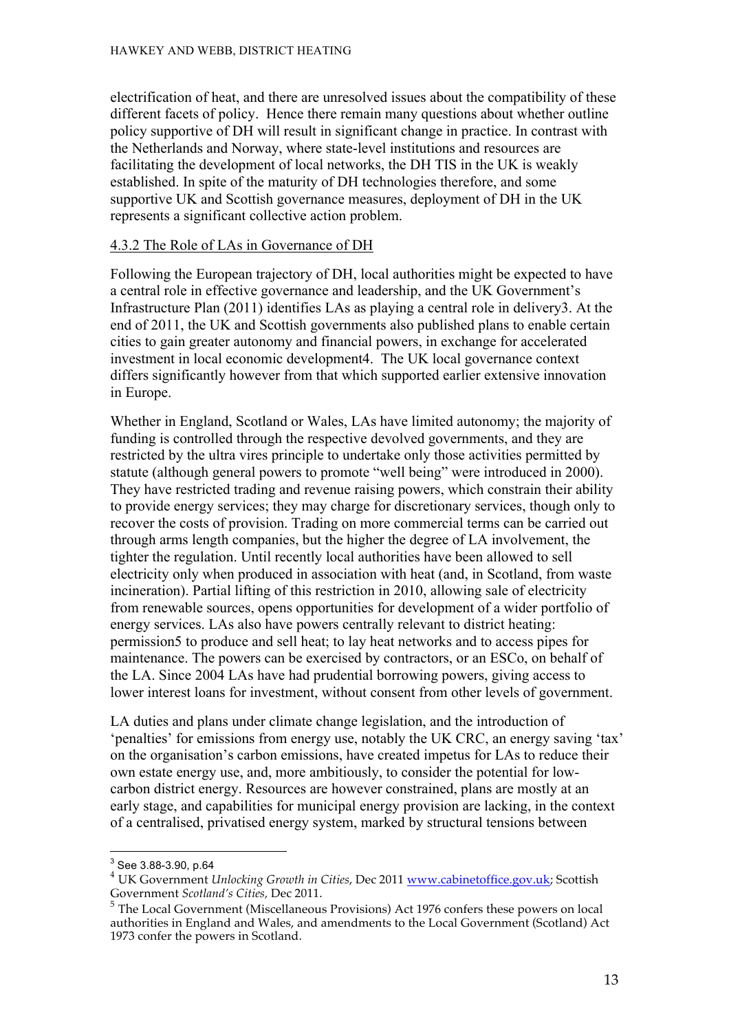electrification of heat, and there are unresolved issues about the compatibility of these different facets of policy. Hence there remain many questions about whether outline policy supportive of DH will result in significant change in practice. In contrast with the Netherlands and Norway, where state-level institutions and resources are facilitating the development of local networks, the DH TIS in the UK is weakly established. In spite of the maturity of DH technologies therefore, and some supportive UK and Scottish governance measures, deployment of DH in the UK represents a significant collective action problem.

#### 4.3.2 The Role of LAs in Governance of DH

Following the European trajectory of DH, local authorities might be expected to have a central role in effective governance and leadership, and the UK Government's Infrastructure Plan (2011) identifies LAs as playing a central role in delivery3. At the end of 2011, the UK and Scottish governments also published plans to enable certain cities to gain greater autonomy and financial powers, in exchange for accelerated investment in local economic development4. The UK local governance context differs significantly however from that which supported earlier extensive innovation in Europe.

Whether in England, Scotland or Wales, LAs have limited autonomy; the majority of funding is controlled through the respective devolved governments, and they are restricted by the ultra vires principle to undertake only those activities permitted by statute (although general powers to promote "well being" were introduced in 2000). They have restricted trading and revenue raising powers, which constrain their ability to provide energy services; they may charge for discretionary services, though only to recover the costs of provision. Trading on more commercial terms can be carried out through arms length companies, but the higher the degree of LA involvement, the tighter the regulation. Until recently local authorities have been allowed to sell electricity only when produced in association with heat (and, in Scotland, from waste incineration). Partial lifting of this restriction in 2010, allowing sale of electricity from renewable sources, opens opportunities for development of a wider portfolio of energy services. LAs also have powers centrally relevant to district heating: permission5 to produce and sell heat; to lay heat networks and to access pipes for maintenance. The powers can be exercised by contractors, or an ESCo, on behalf of the LA. Since 2004 LAs have had prudential borrowing powers, giving access to lower interest loans for investment, without consent from other levels of government.

LA duties and plans under climate change legislation, and the introduction of 'penalties' for emissions from energy use, notably the UK CRC, an energy saving 'tax' on the organisation's carbon emissions, have created impetus for LAs to reduce their own estate energy use, and, more ambitiously, to consider the potential for lowcarbon district energy. Resources are however constrained, plans are mostly at an early stage, and capabilities for municipal energy provision are lacking, in the context of a centralised, privatised energy system, marked by structural tensions between

<sup>3</sup> See 3.88-3.90, p.64

<sup>4</sup> UK Government *Unlocking Growth in Cities*, Dec 2011 www.cabinetoffice.gov.uk; Scottish Government *Scotland's Cities,* Dec 2011.

<sup>5</sup> The Local Government (Miscellaneous Provisions) Act 1976 confers these powers on local authorities in England and Wales, and amendments to the Local Government (Scotland) Act 1973 confer the powers in Scotland.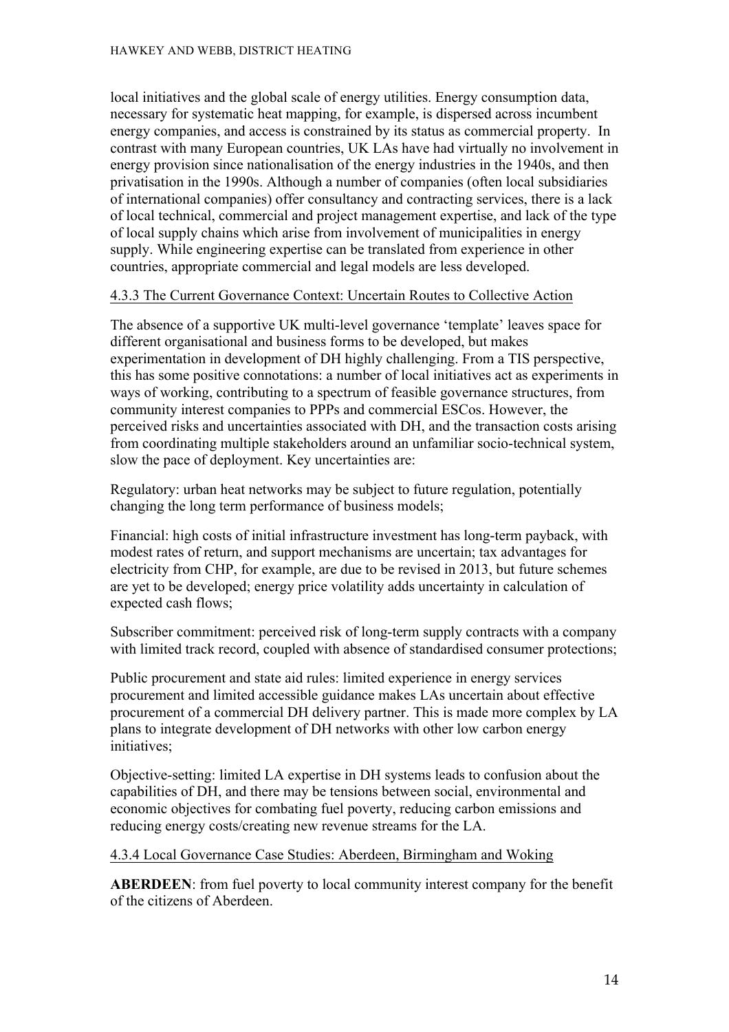local initiatives and the global scale of energy utilities. Energy consumption data, necessary for systematic heat mapping, for example, is dispersed across incumbent energy companies, and access is constrained by its status as commercial property. In contrast with many European countries, UK LAs have had virtually no involvement in energy provision since nationalisation of the energy industries in the 1940s, and then privatisation in the 1990s. Although a number of companies (often local subsidiaries of international companies) offer consultancy and contracting services, there is a lack of local technical, commercial and project management expertise, and lack of the type of local supply chains which arise from involvement of municipalities in energy supply. While engineering expertise can be translated from experience in other countries, appropriate commercial and legal models are less developed.

### 4.3.3 The Current Governance Context: Uncertain Routes to Collective Action

The absence of a supportive UK multi-level governance 'template' leaves space for different organisational and business forms to be developed, but makes experimentation in development of DH highly challenging. From a TIS perspective, this has some positive connotations: a number of local initiatives act as experiments in ways of working, contributing to a spectrum of feasible governance structures, from community interest companies to PPPs and commercial ESCos. However, the perceived risks and uncertainties associated with DH, and the transaction costs arising from coordinating multiple stakeholders around an unfamiliar socio-technical system, slow the pace of deployment. Key uncertainties are:

Regulatory: urban heat networks may be subject to future regulation, potentially changing the long term performance of business models;

Financial: high costs of initial infrastructure investment has long-term payback, with modest rates of return, and support mechanisms are uncertain; tax advantages for electricity from CHP, for example, are due to be revised in 2013, but future schemes are yet to be developed; energy price volatility adds uncertainty in calculation of expected cash flows;

Subscriber commitment: perceived risk of long-term supply contracts with a company with limited track record, coupled with absence of standardised consumer protections;

Public procurement and state aid rules: limited experience in energy services procurement and limited accessible guidance makes LAs uncertain about effective procurement of a commercial DH delivery partner. This is made more complex by LA plans to integrate development of DH networks with other low carbon energy initiatives;

Objective-setting: limited LA expertise in DH systems leads to confusion about the capabilities of DH, and there may be tensions between social, environmental and economic objectives for combating fuel poverty, reducing carbon emissions and reducing energy costs/creating new revenue streams for the LA.

#### 4.3.4 Local Governance Case Studies: Aberdeen, Birmingham and Woking

**ABERDEEN**: from fuel poverty to local community interest company for the benefit of the citizens of Aberdeen.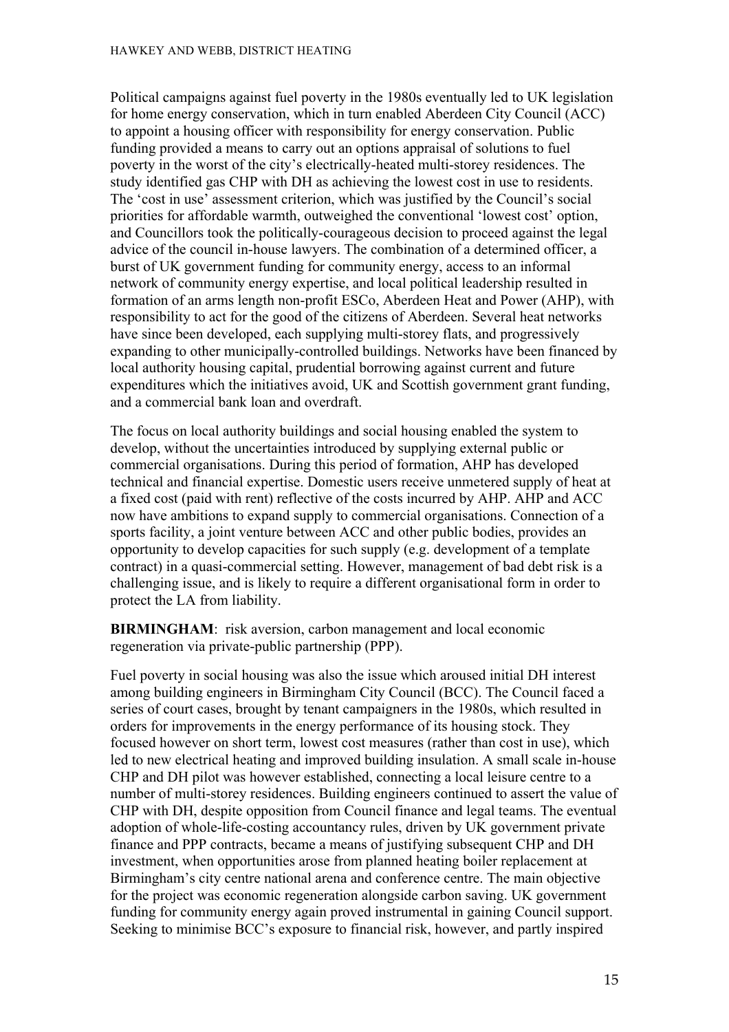Political campaigns against fuel poverty in the 1980s eventually led to UK legislation for home energy conservation, which in turn enabled Aberdeen City Council (ACC) to appoint a housing officer with responsibility for energy conservation. Public funding provided a means to carry out an options appraisal of solutions to fuel poverty in the worst of the city's electrically-heated multi-storey residences. The study identified gas CHP with DH as achieving the lowest cost in use to residents. The 'cost in use' assessment criterion, which was justified by the Council's social priorities for affordable warmth, outweighed the conventional 'lowest cost' option, and Councillors took the politically-courageous decision to proceed against the legal advice of the council in-house lawyers. The combination of a determined officer, a burst of UK government funding for community energy, access to an informal network of community energy expertise, and local political leadership resulted in formation of an arms length non-profit ESCo, Aberdeen Heat and Power (AHP), with responsibility to act for the good of the citizens of Aberdeen. Several heat networks have since been developed, each supplying multi-storey flats, and progressively expanding to other municipally-controlled buildings. Networks have been financed by local authority housing capital, prudential borrowing against current and future expenditures which the initiatives avoid, UK and Scottish government grant funding, and a commercial bank loan and overdraft.

The focus on local authority buildings and social housing enabled the system to develop, without the uncertainties introduced by supplying external public or commercial organisations. During this period of formation, AHP has developed technical and financial expertise. Domestic users receive unmetered supply of heat at a fixed cost (paid with rent) reflective of the costs incurred by AHP. AHP and ACC now have ambitions to expand supply to commercial organisations. Connection of a sports facility, a joint venture between ACC and other public bodies, provides an opportunity to develop capacities for such supply (e.g. development of a template contract) in a quasi-commercial setting. However, management of bad debt risk is a challenging issue, and is likely to require a different organisational form in order to protect the LA from liability.

**BIRMINGHAM**: risk aversion, carbon management and local economic regeneration via private-public partnership (PPP).

Fuel poverty in social housing was also the issue which aroused initial DH interest among building engineers in Birmingham City Council (BCC). The Council faced a series of court cases, brought by tenant campaigners in the 1980s, which resulted in orders for improvements in the energy performance of its housing stock. They focused however on short term, lowest cost measures (rather than cost in use), which led to new electrical heating and improved building insulation. A small scale in-house CHP and DH pilot was however established, connecting a local leisure centre to a number of multi-storey residences. Building engineers continued to assert the value of CHP with DH, despite opposition from Council finance and legal teams. The eventual adoption of whole-life-costing accountancy rules, driven by UK government private finance and PPP contracts, became a means of justifying subsequent CHP and DH investment, when opportunities arose from planned heating boiler replacement at Birmingham's city centre national arena and conference centre. The main objective for the project was economic regeneration alongside carbon saving. UK government funding for community energy again proved instrumental in gaining Council support. Seeking to minimise BCC's exposure to financial risk, however, and partly inspired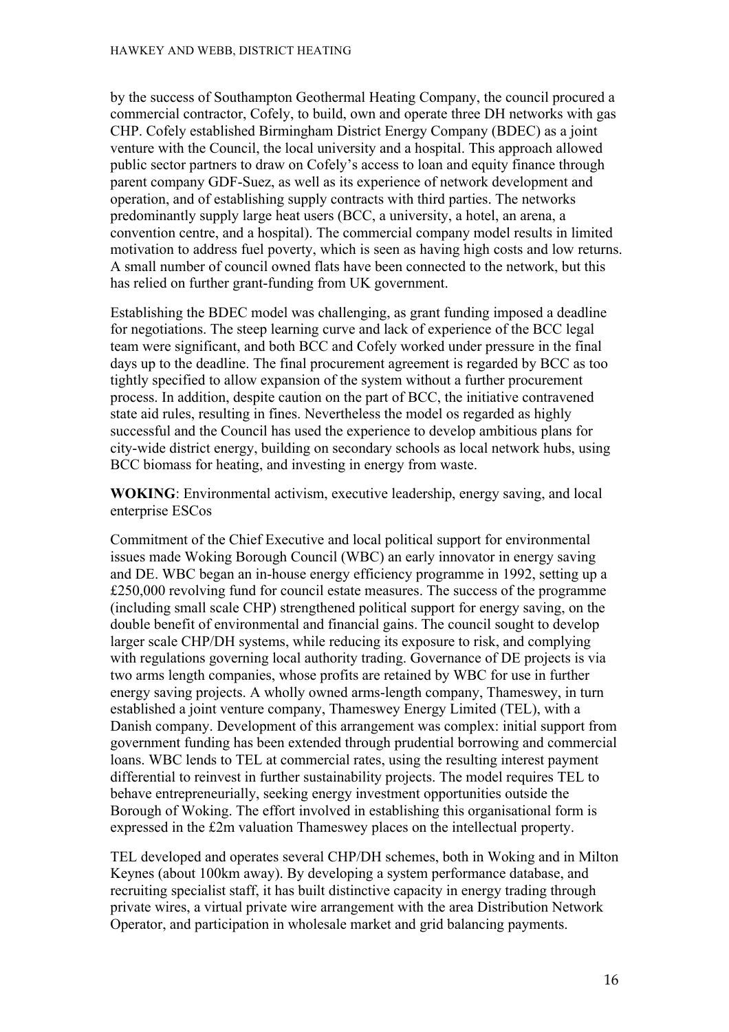by the success of Southampton Geothermal Heating Company, the council procured a commercial contractor, Cofely, to build, own and operate three DH networks with gas CHP. Cofely established Birmingham District Energy Company (BDEC) as a joint venture with the Council, the local university and a hospital. This approach allowed public sector partners to draw on Cofely's access to loan and equity finance through parent company GDF-Suez, as well as its experience of network development and operation, and of establishing supply contracts with third parties. The networks predominantly supply large heat users (BCC, a university, a hotel, an arena, a convention centre, and a hospital). The commercial company model results in limited motivation to address fuel poverty, which is seen as having high costs and low returns. A small number of council owned flats have been connected to the network, but this has relied on further grant-funding from UK government.

Establishing the BDEC model was challenging, as grant funding imposed a deadline for negotiations. The steep learning curve and lack of experience of the BCC legal team were significant, and both BCC and Cofely worked under pressure in the final days up to the deadline. The final procurement agreement is regarded by BCC as too tightly specified to allow expansion of the system without a further procurement process. In addition, despite caution on the part of BCC, the initiative contravened state aid rules, resulting in fines. Nevertheless the model os regarded as highly successful and the Council has used the experience to develop ambitious plans for city-wide district energy, building on secondary schools as local network hubs, using BCC biomass for heating, and investing in energy from waste.

**WOKING**: Environmental activism, executive leadership, energy saving, and local enterprise ESCos

Commitment of the Chief Executive and local political support for environmental issues made Woking Borough Council (WBC) an early innovator in energy saving and DE. WBC began an in-house energy efficiency programme in 1992, setting up a £250,000 revolving fund for council estate measures. The success of the programme (including small scale CHP) strengthened political support for energy saving, on the double benefit of environmental and financial gains. The council sought to develop larger scale CHP/DH systems, while reducing its exposure to risk, and complying with regulations governing local authority trading. Governance of DE projects is via two arms length companies, whose profits are retained by WBC for use in further energy saving projects. A wholly owned arms-length company, Thameswey, in turn established a joint venture company, Thameswey Energy Limited (TEL), with a Danish company. Development of this arrangement was complex: initial support from government funding has been extended through prudential borrowing and commercial loans. WBC lends to TEL at commercial rates, using the resulting interest payment differential to reinvest in further sustainability projects. The model requires TEL to behave entrepreneurially, seeking energy investment opportunities outside the Borough of Woking. The effort involved in establishing this organisational form is expressed in the £2m valuation Thameswey places on the intellectual property.

TEL developed and operates several CHP/DH schemes, both in Woking and in Milton Keynes (about 100km away). By developing a system performance database, and recruiting specialist staff, it has built distinctive capacity in energy trading through private wires, a virtual private wire arrangement with the area Distribution Network Operator, and participation in wholesale market and grid balancing payments.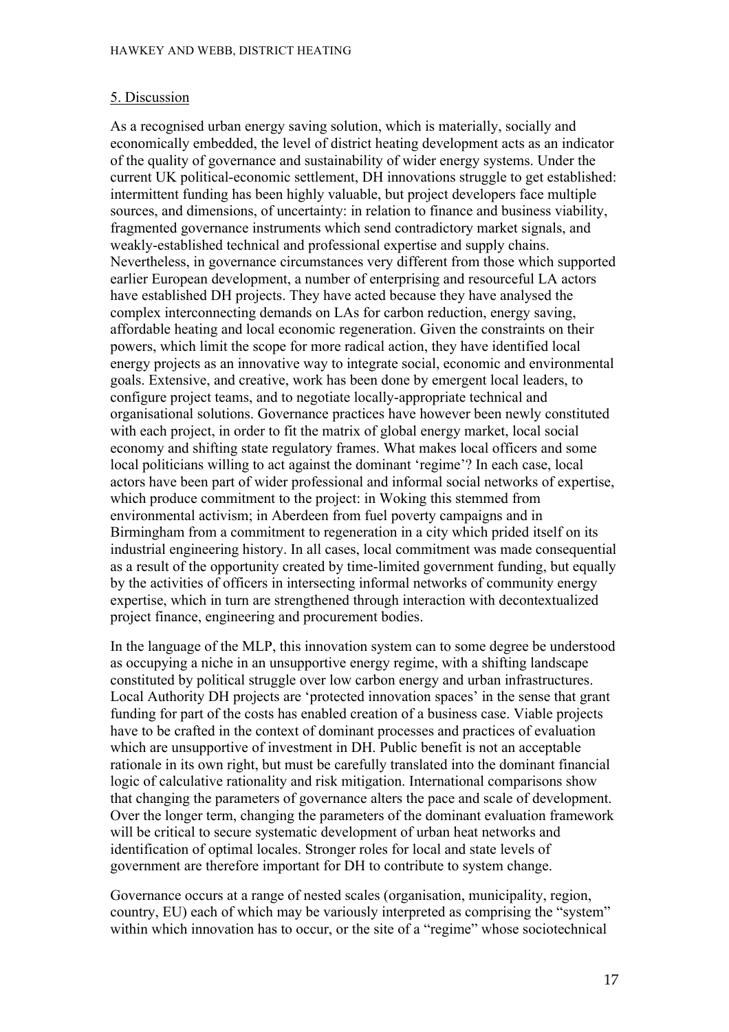#### 5. Discussion

As a recognised urban energy saving solution, which is materially, socially and economically embedded, the level of district heating development acts as an indicator of the quality of governance and sustainability of wider energy systems. Under the current UK political-economic settlement, DH innovations struggle to get established: intermittent funding has been highly valuable, but project developers face multiple sources, and dimensions, of uncertainty: in relation to finance and business viability, fragmented governance instruments which send contradictory market signals, and weakly-established technical and professional expertise and supply chains. Nevertheless, in governance circumstances very different from those which supported earlier European development, a number of enterprising and resourceful LA actors have established DH projects. They have acted because they have analysed the complex interconnecting demands on LAs for carbon reduction, energy saving, affordable heating and local economic regeneration. Given the constraints on their powers, which limit the scope for more radical action, they have identified local energy projects as an innovative way to integrate social, economic and environmental goals. Extensive, and creative, work has been done by emergent local leaders, to configure project teams, and to negotiate locally-appropriate technical and organisational solutions. Governance practices have however been newly constituted with each project, in order to fit the matrix of global energy market, local social economy and shifting state regulatory frames. What makes local officers and some local politicians willing to act against the dominant 'regime'? In each case, local actors have been part of wider professional and informal social networks of expertise, which produce commitment to the project: in Woking this stemmed from environmental activism; in Aberdeen from fuel poverty campaigns and in Birmingham from a commitment to regeneration in a city which prided itself on its industrial engineering history. In all cases, local commitment was made consequential as a result of the opportunity created by time-limited government funding, but equally by the activities of officers in intersecting informal networks of community energy expertise, which in turn are strengthened through interaction with decontextualized project finance, engineering and procurement bodies.

In the language of the MLP, this innovation system can to some degree be understood as occupying a niche in an unsupportive energy regime, with a shifting landscape constituted by political struggle over low carbon energy and urban infrastructures. Local Authority DH projects are 'protected innovation spaces' in the sense that grant funding for part of the costs has enabled creation of a business case. Viable projects have to be crafted in the context of dominant processes and practices of evaluation which are unsupportive of investment in DH. Public benefit is not an acceptable rationale in its own right, but must be carefully translated into the dominant financial logic of calculative rationality and risk mitigation. International comparisons show that changing the parameters of governance alters the pace and scale of development. Over the longer term, changing the parameters of the dominant evaluation framework will be critical to secure systematic development of urban heat networks and identification of optimal locales. Stronger roles for local and state levels of government are therefore important for DH to contribute to system change.

Governance occurs at a range of nested scales (organisation, municipality, region, country, EU) each of which may be variously interpreted as comprising the "system" within which innovation has to occur, or the site of a "regime" whose sociotechnical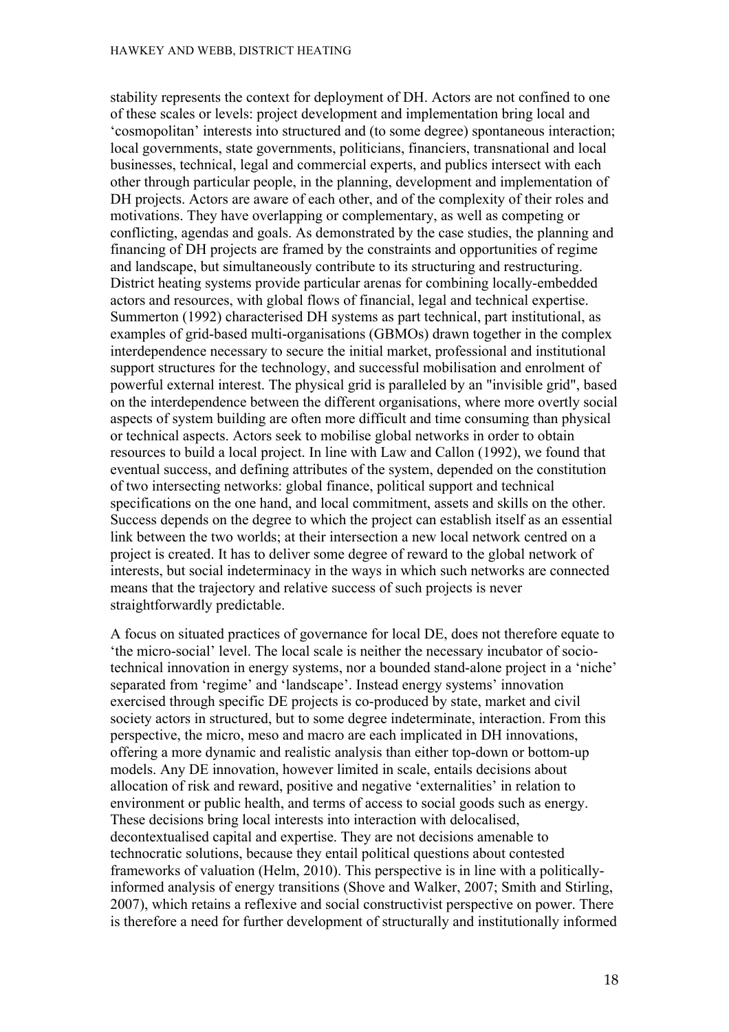stability represents the context for deployment of DH. Actors are not confined to one of these scales or levels: project development and implementation bring local and 'cosmopolitan' interests into structured and (to some degree) spontaneous interaction; local governments, state governments, politicians, financiers, transnational and local businesses, technical, legal and commercial experts, and publics intersect with each other through particular people, in the planning, development and implementation of DH projects. Actors are aware of each other, and of the complexity of their roles and motivations. They have overlapping or complementary, as well as competing or conflicting, agendas and goals. As demonstrated by the case studies, the planning and financing of DH projects are framed by the constraints and opportunities of regime and landscape, but simultaneously contribute to its structuring and restructuring. District heating systems provide particular arenas for combining locally-embedded actors and resources, with global flows of financial, legal and technical expertise. Summerton (1992) characterised DH systems as part technical, part institutional, as examples of grid-based multi-organisations (GBMOs) drawn together in the complex interdependence necessary to secure the initial market, professional and institutional support structures for the technology, and successful mobilisation and enrolment of powerful external interest. The physical grid is paralleled by an "invisible grid", based on the interdependence between the different organisations, where more overtly social aspects of system building are often more difficult and time consuming than physical or technical aspects. Actors seek to mobilise global networks in order to obtain resources to build a local project. In line with Law and Callon (1992), we found that eventual success, and defining attributes of the system, depended on the constitution of two intersecting networks: global finance, political support and technical specifications on the one hand, and local commitment, assets and skills on the other. Success depends on the degree to which the project can establish itself as an essential link between the two worlds; at their intersection a new local network centred on a project is created. It has to deliver some degree of reward to the global network of interests, but social indeterminacy in the ways in which such networks are connected means that the trajectory and relative success of such projects is never straightforwardly predictable.

A focus on situated practices of governance for local DE, does not therefore equate to 'the micro-social' level. The local scale is neither the necessary incubator of sociotechnical innovation in energy systems, nor a bounded stand-alone project in a 'niche' separated from 'regime' and 'landscape'. Instead energy systems' innovation exercised through specific DE projects is co-produced by state, market and civil society actors in structured, but to some degree indeterminate, interaction. From this perspective, the micro, meso and macro are each implicated in DH innovations, offering a more dynamic and realistic analysis than either top-down or bottom-up models. Any DE innovation, however limited in scale, entails decisions about allocation of risk and reward, positive and negative 'externalities' in relation to environment or public health, and terms of access to social goods such as energy. These decisions bring local interests into interaction with delocalised, decontextualised capital and expertise. They are not decisions amenable to technocratic solutions, because they entail political questions about contested frameworks of valuation (Helm, 2010). This perspective is in line with a politicallyinformed analysis of energy transitions (Shove and Walker, 2007; Smith and Stirling, 2007), which retains a reflexive and social constructivist perspective on power. There is therefore a need for further development of structurally and institutionally informed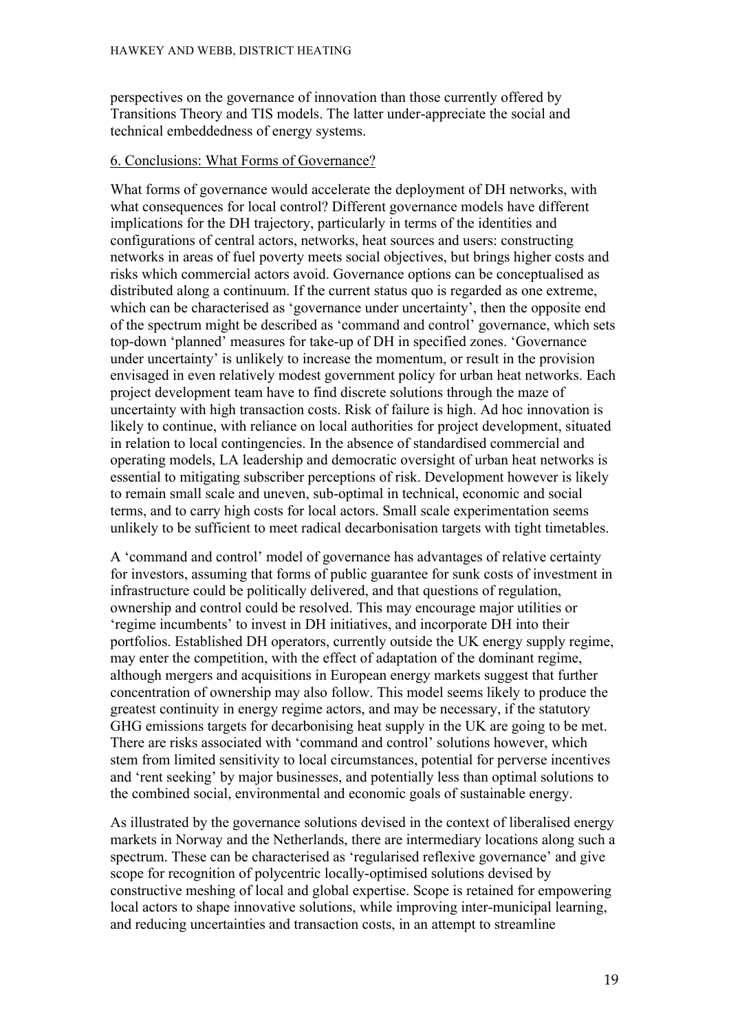perspectives on the governance of innovation than those currently offered by Transitions Theory and TIS models. The latter under-appreciate the social and technical embeddedness of energy systems.

#### 6. Conclusions: What Forms of Governance?

What forms of governance would accelerate the deployment of DH networks, with what consequences for local control? Different governance models have different implications for the DH trajectory, particularly in terms of the identities and configurations of central actors, networks, heat sources and users: constructing networks in areas of fuel poverty meets social objectives, but brings higher costs and risks which commercial actors avoid. Governance options can be conceptualised as distributed along a continuum. If the current status quo is regarded as one extreme, which can be characterised as 'governance under uncertainty', then the opposite end of the spectrum might be described as 'command and control' governance, which sets top-down 'planned' measures for take-up of DH in specified zones. 'Governance under uncertainty' is unlikely to increase the momentum, or result in the provision envisaged in even relatively modest government policy for urban heat networks. Each project development team have to find discrete solutions through the maze of uncertainty with high transaction costs. Risk of failure is high. Ad hoc innovation is likely to continue, with reliance on local authorities for project development, situated in relation to local contingencies. In the absence of standardised commercial and operating models, LA leadership and democratic oversight of urban heat networks is essential to mitigating subscriber perceptions of risk. Development however is likely to remain small scale and uneven, sub-optimal in technical, economic and social terms, and to carry high costs for local actors. Small scale experimentation seems unlikely to be sufficient to meet radical decarbonisation targets with tight timetables.

A 'command and control' model of governance has advantages of relative certainty for investors, assuming that forms of public guarantee for sunk costs of investment in infrastructure could be politically delivered, and that questions of regulation, ownership and control could be resolved. This may encourage major utilities or 'regime incumbents' to invest in DH initiatives, and incorporate DH into their portfolios. Established DH operators, currently outside the UK energy supply regime, may enter the competition, with the effect of adaptation of the dominant regime, although mergers and acquisitions in European energy markets suggest that further concentration of ownership may also follow. This model seems likely to produce the greatest continuity in energy regime actors, and may be necessary, if the statutory GHG emissions targets for decarbonising heat supply in the UK are going to be met. There are risks associated with 'command and control' solutions however, which stem from limited sensitivity to local circumstances, potential for perverse incentives and 'rent seeking' by major businesses, and potentially less than optimal solutions to the combined social, environmental and economic goals of sustainable energy.

As illustrated by the governance solutions devised in the context of liberalised energy markets in Norway and the Netherlands, there are intermediary locations along such a spectrum. These can be characterised as 'regularised reflexive governance' and give scope for recognition of polycentric locally-optimised solutions devised by constructive meshing of local and global expertise. Scope is retained for empowering local actors to shape innovative solutions, while improving inter-municipal learning, and reducing uncertainties and transaction costs, in an attempt to streamline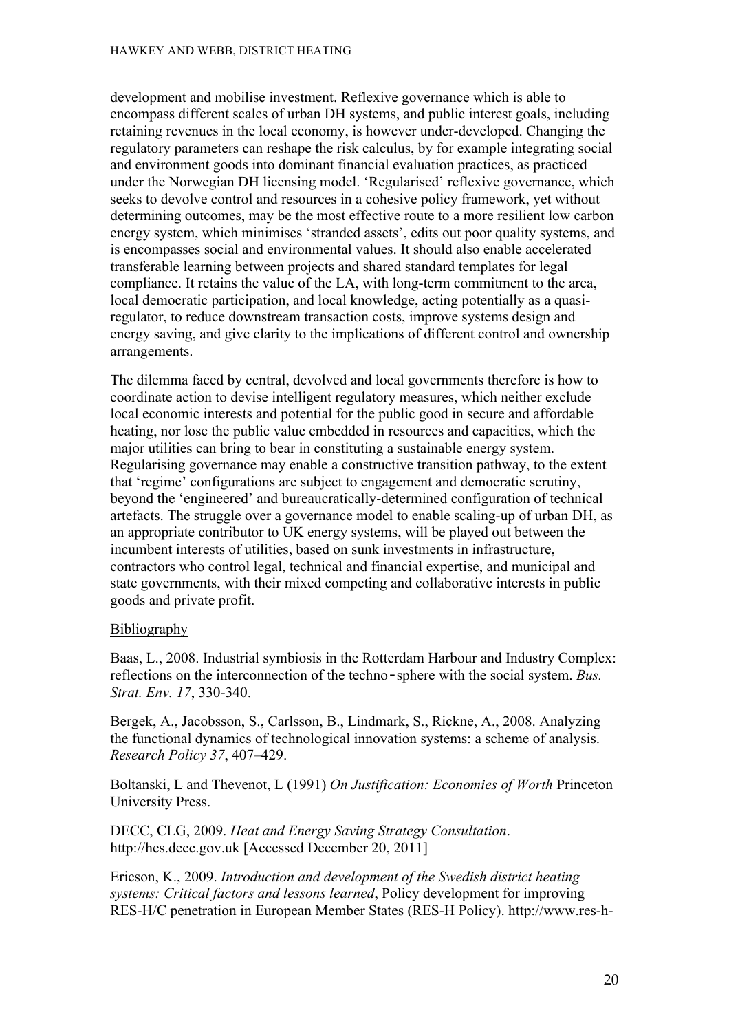development and mobilise investment. Reflexive governance which is able to encompass different scales of urban DH systems, and public interest goals, including retaining revenues in the local economy, is however under-developed. Changing the regulatory parameters can reshape the risk calculus, by for example integrating social and environment goods into dominant financial evaluation practices, as practiced under the Norwegian DH licensing model. 'Regularised' reflexive governance, which seeks to devolve control and resources in a cohesive policy framework, yet without determining outcomes, may be the most effective route to a more resilient low carbon energy system, which minimises 'stranded assets', edits out poor quality systems, and is encompasses social and environmental values. It should also enable accelerated transferable learning between projects and shared standard templates for legal compliance. It retains the value of the LA, with long-term commitment to the area, local democratic participation, and local knowledge, acting potentially as a quasiregulator, to reduce downstream transaction costs, improve systems design and energy saving, and give clarity to the implications of different control and ownership arrangements.

The dilemma faced by central, devolved and local governments therefore is how to coordinate action to devise intelligent regulatory measures, which neither exclude local economic interests and potential for the public good in secure and affordable heating, nor lose the public value embedded in resources and capacities, which the major utilities can bring to bear in constituting a sustainable energy system. Regularising governance may enable a constructive transition pathway, to the extent that 'regime' configurations are subject to engagement and democratic scrutiny, beyond the 'engineered' and bureaucratically-determined configuration of technical artefacts. The struggle over a governance model to enable scaling-up of urban DH, as an appropriate contributor to UK energy systems, will be played out between the incumbent interests of utilities, based on sunk investments in infrastructure, contractors who control legal, technical and financial expertise, and municipal and state governments, with their mixed competing and collaborative interests in public goods and private profit.

#### Bibliography

Baas, L., 2008. Industrial symbiosis in the Rotterdam Harbour and Industry Complex: reflections on the interconnection of the techno‐sphere with the social system. *Bus. Strat. Env. 17*, 330-340.

Bergek, A., Jacobsson, S., Carlsson, B., Lindmark, S., Rickne, A., 2008. Analyzing the functional dynamics of technological innovation systems: a scheme of analysis. *Research Policy 37*, 407–429.

Boltanski, L and Thevenot, L (1991) *On Justification: Economies of Worth* Princeton University Press.

DECC, CLG, 2009. *Heat and Energy Saving Strategy Consultation*. http://hes.decc.gov.uk [Accessed December 20, 2011]

Ericson, K., 2009. *Introduction and development of the Swedish district heating systems: Critical factors and lessons learned*, Policy development for improving RES-H/C penetration in European Member States (RES-H Policy). http://www.res-h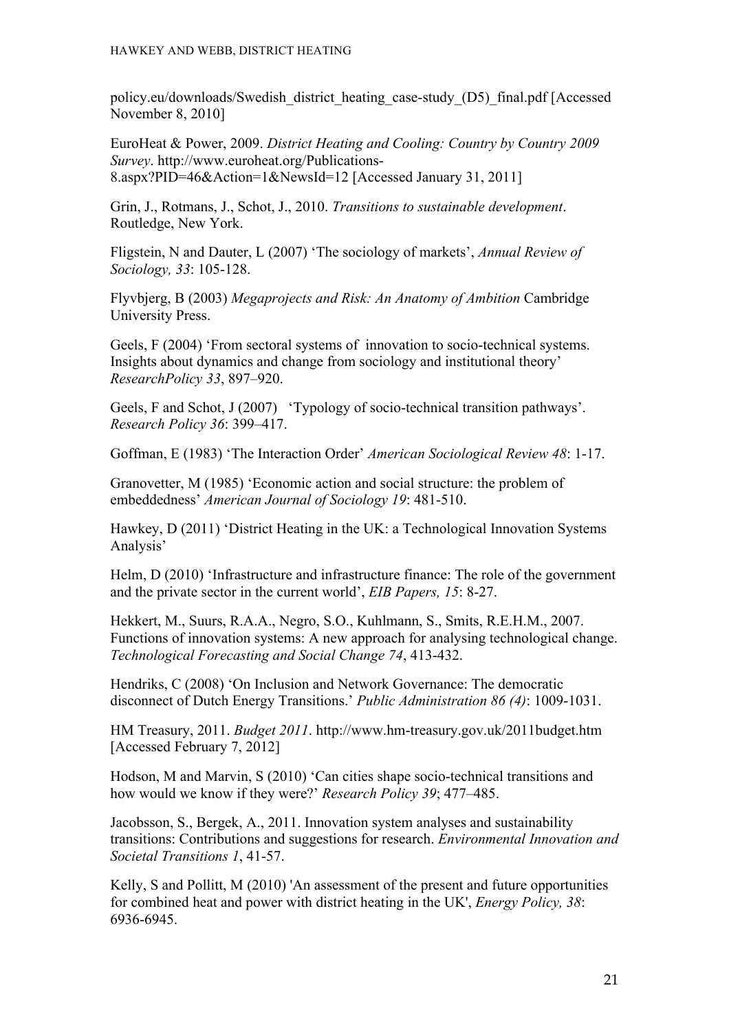policy.eu/downloads/Swedish\_district\_heating\_case-study\_(D5)\_final.pdf [Accessed November 8, 2010]

EuroHeat & Power, 2009. *District Heating and Cooling: Country by Country 2009 Survey*. http://www.euroheat.org/Publications-8.aspx?PID=46&Action=1&NewsId=12 [Accessed January 31, 2011]

Grin, J., Rotmans, J., Schot, J., 2010. *Transitions to sustainable development*. Routledge, New York.

Fligstein, N and Dauter, L (2007) 'The sociology of markets', *Annual Review of Sociology, 33*: 105-128.

Flyvbjerg, B (2003) *Megaprojects and Risk: An Anatomy of Ambition* Cambridge University Press.

Geels, F (2004) 'From sectoral systems of innovation to socio-technical systems. Insights about dynamics and change from sociology and institutional theory' *ResearchPolicy 33*, 897–920.

Geels, F and Schot, J (2007) 'Typology of socio-technical transition pathways'. *Research Policy 36*: 399–417.

Goffman, E (1983) 'The Interaction Order' *American Sociological Review 48*: 1-17.

Granovetter, M (1985) 'Economic action and social structure: the problem of embeddedness' *American Journal of Sociology 19*: 481-510.

Hawkey, D (2011) 'District Heating in the UK: a Technological Innovation Systems Analysis'

Helm, D (2010) 'Infrastructure and infrastructure finance: The role of the government and the private sector in the current world', *EIB Papers, 15*: 8-27.

Hekkert, M., Suurs, R.A.A., Negro, S.O., Kuhlmann, S., Smits, R.E.H.M., 2007. Functions of innovation systems: A new approach for analysing technological change. *Technological Forecasting and Social Change 74*, 413-432.

Hendriks, C (2008) 'On Inclusion and Network Governance: The democratic disconnect of Dutch Energy Transitions.' *Public Administration 86 (4)*: 1009-1031.

HM Treasury, 2011. *Budget 2011*. http://www.hm-treasury.gov.uk/2011budget.htm [Accessed February 7, 2012]

Hodson, M and Marvin, S (2010) 'Can cities shape socio-technical transitions and how would we know if they were?' *Research Policy 39*; 477–485.

Jacobsson, S., Bergek, A., 2011. Innovation system analyses and sustainability transitions: Contributions and suggestions for research. *Environmental Innovation and Societal Transitions 1*, 41-57.

Kelly, S and Pollitt, M (2010) 'An assessment of the present and future opportunities for combined heat and power with district heating in the UK', *Energy Policy, 38*: 6936-6945.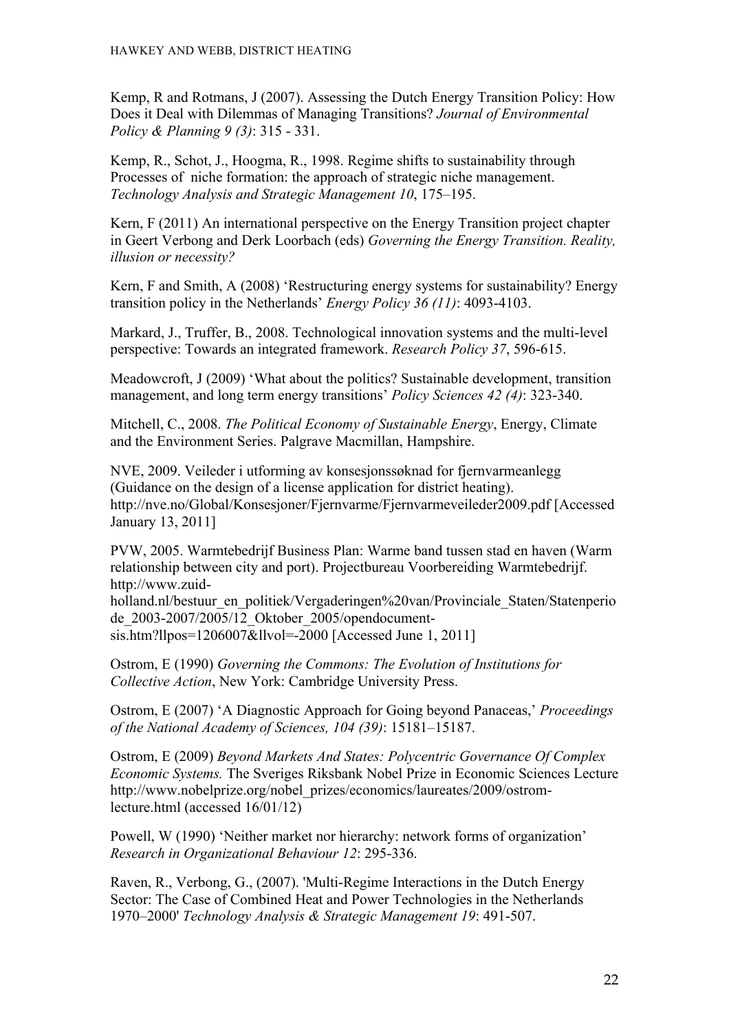Kemp, R and Rotmans, J (2007). Assessing the Dutch Energy Transition Policy: How Does it Deal with Dilemmas of Managing Transitions? *Journal of Environmental Policy & Planning 9 (3)*: 315 - 331.

Kemp, R., Schot, J., Hoogma, R., 1998. Regime shifts to sustainability through Processes of niche formation: the approach of strategic niche management. *Technology Analysis and Strategic Management 10*, 175–195.

Kern, F (2011) An international perspective on the Energy Transition project chapter in Geert Verbong and Derk Loorbach (eds) *Governing the Energy Transition. Reality, illusion or necessity?*

Kern, F and Smith, A (2008) 'Restructuring energy systems for sustainability? Energy transition policy in the Netherlands' *Energy Policy 36 (11)*: 4093-4103.

Markard, J., Truffer, B., 2008. Technological innovation systems and the multi-level perspective: Towards an integrated framework. *Research Policy 37*, 596-615.

Meadowcroft, J (2009) 'What about the politics? Sustainable development, transition management, and long term energy transitions' *Policy Sciences 42 (4)*: 323-340.

Mitchell, C., 2008. *The Political Economy of Sustainable Energy*, Energy, Climate and the Environment Series. Palgrave Macmillan, Hampshire.

NVE, 2009. Veileder i utforming av konsesjonssøknad for fjernvarmeanlegg (Guidance on the design of a license application for district heating). http://nve.no/Global/Konsesjoner/Fjernvarme/Fjernvarmeveileder2009.pdf [Accessed January 13, 2011]

PVW, 2005. Warmtebedrijf Business Plan: Warme band tussen stad en haven (Warm relationship between city and port). Projectbureau Voorbereiding Warmtebedrijf. http://www.zuid-

holland.nl/bestuur\_en\_politiek/Vergaderingen%20van/Provinciale\_Staten/Statenperio de\_2003-2007/2005/12\_Oktober\_2005/opendocumentsis.htm?llpos=1206007&llvol=-2000 [Accessed June 1, 2011]

Ostrom, E (1990) *Governing the Commons: The Evolution of Institutions for Collective Action*, New York: Cambridge University Press.

Ostrom, E (2007) 'A Diagnostic Approach for Going beyond Panaceas,' *Proceedings of the National Academy of Sciences, 104 (39)*: 15181–15187.

Ostrom, E (2009) *Beyond Markets And States: Polycentric Governance Of Complex Economic Systems.* The Sveriges Riksbank Nobel Prize in Economic Sciences Lecture http://www.nobelprize.org/nobel\_prizes/economics/laureates/2009/ostromlecture.html (accessed 16/01/12)

Powell, W (1990) 'Neither market nor hierarchy: network forms of organization' *Research in Organizational Behaviour 12*: 295-336.

Raven, R., Verbong, G., (2007). 'Multi-Regime Interactions in the Dutch Energy Sector: The Case of Combined Heat and Power Technologies in the Netherlands 1970–2000' *Technology Analysis & Strategic Management 19*: 491-507.